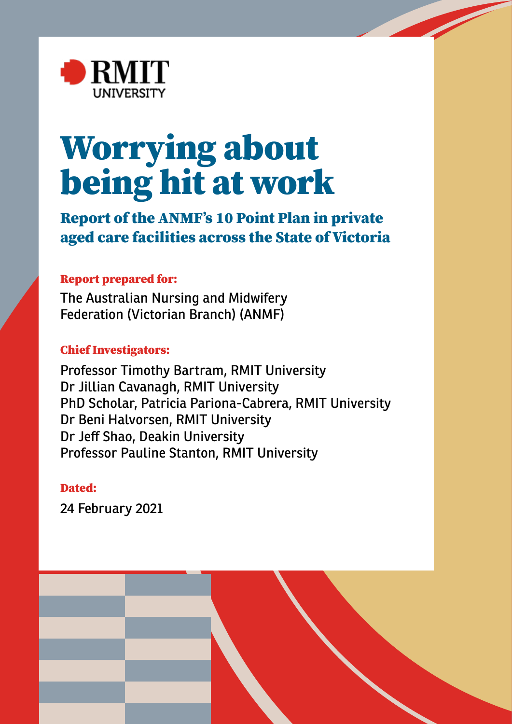

# Worrying about being hit at work

Report of the ANMF's 10 Point Plan in private aged care facilities across the State of Victoria

# Report prepared for:

The Australian Nursing and Midwifery Federation (Victorian Branch) (ANMF)

# Chief Investigators:

Professor Timothy Bartram, RMIT University Dr Jillian Cavanagh, RMIT University PhD Scholar, Patricia Pariona-Cabrera, RMIT University Dr Beni Halvorsen, RMIT University Dr Jeff Shao, Deakin University Professor Pauline Stanton, RMIT University

# Dated:

24 February 2021

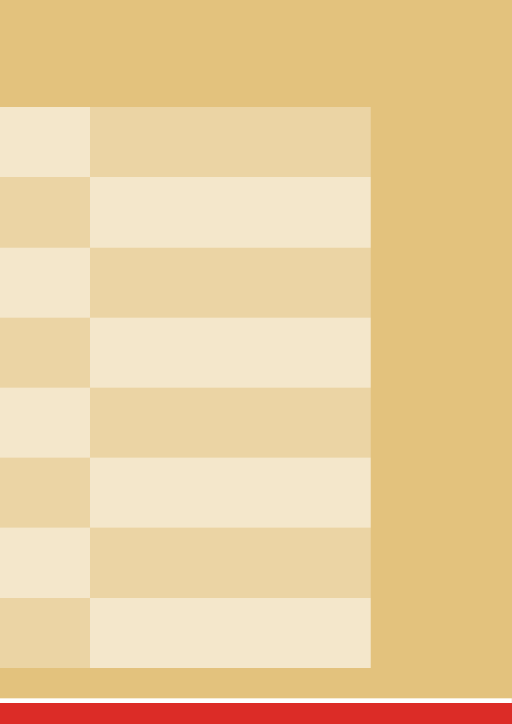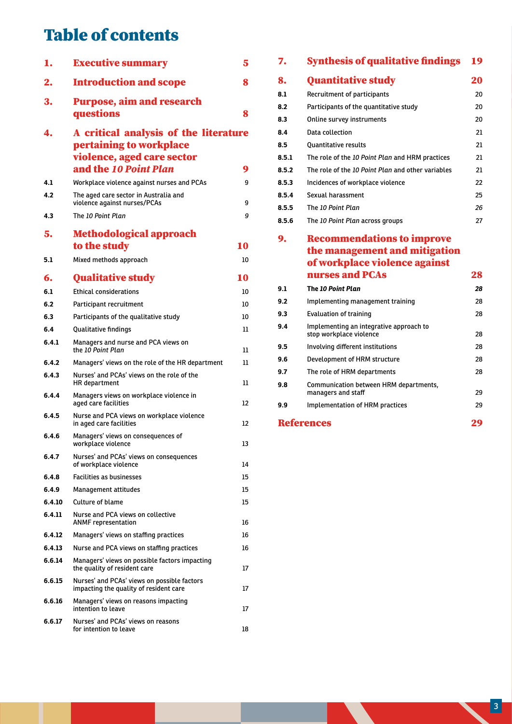# Table of contents

| 1.     | <b>Executive summary</b>                                                                       | 5  |
|--------|------------------------------------------------------------------------------------------------|----|
| 2.     | <b>Introduction and scope</b>                                                                  | 8  |
| 3.     | <b>Purpose, aim and research</b><br>questions                                                  | 8  |
| 4.     | A critical analysis of the literature<br>pertaining to workplace<br>violence, aged care sector |    |
|        | and the 10 Point Plan                                                                          | 9  |
| 4.1    | Workplace violence against nurses and PCAs                                                     | 9  |
| 4.2    | The aged care sector in Australia and<br>violence against nurses/PCAs                          | 9  |
| 4.3    | The 10 Point Plan                                                                              | 9  |
| 5.     | <b>Methodological approach</b>                                                                 |    |
|        | to the study                                                                                   | 10 |
| 5.1    | Mixed methods approach                                                                         | 10 |
| 6.     | <b>Qualitative study</b>                                                                       | 10 |
| 6.1    | <b>Ethical considerations</b>                                                                  | 10 |
| 6.2    | Participant recruitment                                                                        | 10 |
| 6.3    | Participants of the qualitative study                                                          | 10 |
| 6.4    | <b>Qualitative findings</b>                                                                    | 11 |
| 6.4.1  | Managers and nurse and PCA views on<br>the 10 Point Plan                                       | 11 |
| 6.4.2  | Managers' views on the role of the HR department                                               | 11 |
| 6.4.3  | Nurses' and PCAs' views on the role of the<br>HR department                                    | 11 |
| 6.4.4  | Managers views on workplace violence in<br>aged care facilities                                | 12 |
| 6.4.5  | Nurse and PCA views on workplace violence<br>in aged care facilities                           | 12 |
| 6.4.6  | Managers' views on consequences of<br>workplace violence                                       | 13 |
| 6.4.7  | Nurses' and PCAs' views on consequences<br>of workplace violence                               | 14 |
| 6.4.8  | <b>Facilities as businesses</b>                                                                | 15 |
| 6.4.9  | Management attitudes                                                                           | 15 |
| 6.4.10 | Culture of blame                                                                               | 15 |
| 6.4.11 | Nurse and PCA views on collective<br><b>ANMF</b> representation                                | 16 |
| 6.4.12 | Managers' views on staffing practices                                                          | 16 |
| 6.4.13 | Nurse and PCA views on staffing practices                                                      | 16 |
| 6.6.14 | Managers' views on possible factors impacting<br>the quality of resident care                  | 17 |
| 6.6.15 | Nurses' and PCAs' views on possible factors<br>impacting the quality of resident care          | 17 |
| 6.6.16 | Managers' views on reasons impacting<br>intention to leave                                     | 17 |
| 6.6.17 | Nurses' and PCAs' views on reasons<br>for intention to leave                                   | 18 |

| 7.    | <b>Synthesis of qualitative findings</b>                           | 19 |
|-------|--------------------------------------------------------------------|----|
| 8.    | <b>Quantitative study</b>                                          | 20 |
| 8.1   | Recruitment of participants                                        | 20 |
| 8.2   | Participants of the quantitative study                             | 20 |
| 8.3   | Online survey instruments                                          | 20 |
| 8.4   | Data collection                                                    | 21 |
| 8.5   | <b>Ouantitative results</b>                                        | 21 |
| 8.5.1 | The role of the 10 Point Plan and HRM practices                    | 21 |
| 8.5.2 | The role of the 10 Point Plan and other variables                  | 21 |
| 8.5.3 | Incidences of workplace violence                                   | 22 |
| 8.5.4 | Sexual harassment                                                  | 25 |
| 8.5.5 | The 10 Point Plan                                                  | 26 |
| 8.5.6 | The 10 Point Plan across groups                                    | 27 |
| 9.    | <b>Recommendations to improve</b>                                  |    |
|       | the management and mitigation                                      |    |
|       | of workplace violence against                                      |    |
|       | nurses and PCAs                                                    | 28 |
| 9.1   | <b>The 10 Point Plan</b>                                           | 28 |
| 9.2   | Implementing management training                                   | 28 |
| 9.3   | <b>Evaluation of training</b>                                      | 28 |
| 9.4   | Implementing an integrative approach to<br>stop workplace violence | 28 |
| 9.5   | Involving different institutions                                   | 28 |
| 9.6   | Development of HRM structure                                       | 28 |
| 9.7   | The role of HRM departments                                        | 28 |
| 9.8   | Communication between HRM departments,<br>managers and staff       | 29 |
| 9.9   | Implementation of HRM practices                                    | 29 |
|       | <b>References</b>                                                  | 29 |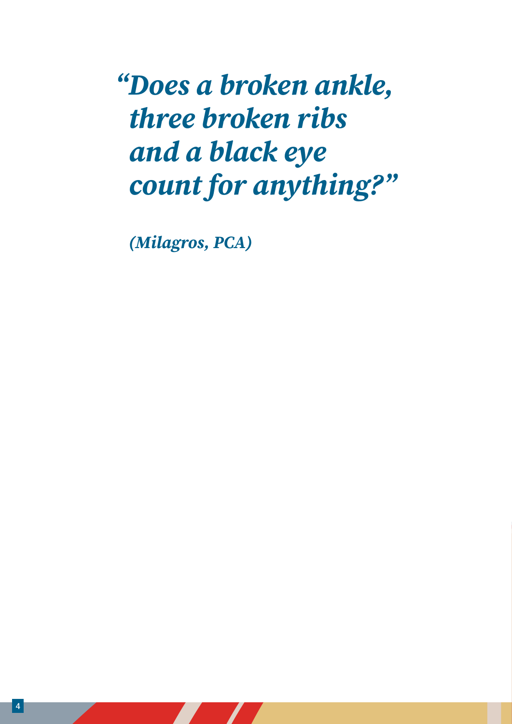*"Does a broken ankle, three broken ribs and a black eye count for anything?"*

*(Milagros, PCA)*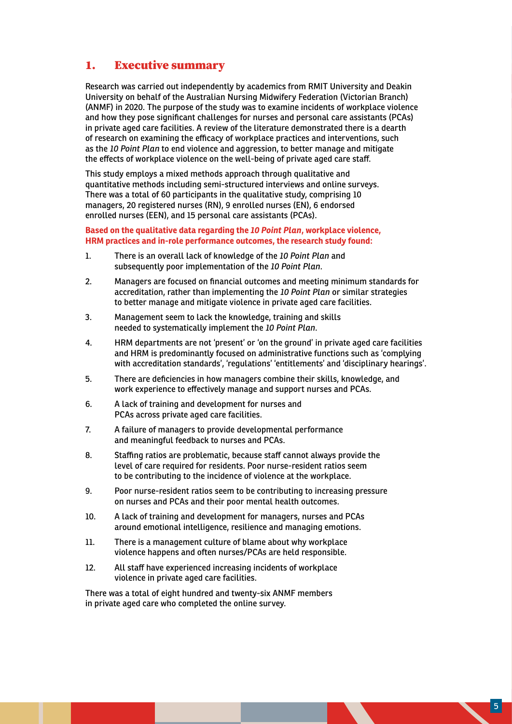### <span id="page-4-0"></span>1. Executive summary

Research was carried out independently by academics from RMIT University and Deakin University on behalf of the Australian Nursing Midwifery Federation (Victorian Branch) (ANMF) in 2020. The purpose of the study was to examine incidents of workplace violence and how they pose significant challenges for nurses and personal care assistants (PCAs) in private aged care facilities. A review of the literature demonstrated there is a dearth of research on examining the efficacy of workplace practices and interventions, such as the *10 Point Plan* to end violence and aggression, to better manage and mitigate the effects of workplace violence on the well-being of private aged care staff.

This study employs a mixed methods approach through qualitative and quantitative methods including semi-structured interviews and online surveys. There was a total of 60 participants in the qualitative study, comprising 10 managers, 20 registered nurses (RN), 9 enrolled nurses (EN), 6 endorsed enrolled nurses (EEN), and 15 personal care assistants (PCAs).

**Based on the qualitative data regarding the** *10 Point Plan***, workplace violence, HRM practices and in-role performance outcomes, the research study found:**

- 1. There is an overall lack of knowledge of the *10 Point Plan* and subsequently poor implementation of the *10 Point Plan*.
- 2. Managers are focused on financial outcomes and meeting minimum standards for accreditation, rather than implementing the *10 Point Plan* or similar strategies to better manage and mitigate violence in private aged care facilities.
- 3. Management seem to lack the knowledge, training and skills needed to systematically implement the *10 Point Plan*.
- 4. HRM departments are not 'present' or 'on the ground' in private aged care facilities and HRM is predominantly focused on administrative functions such as 'complying with accreditation standards', 'regulations' 'entitlements' and 'disciplinary hearings'.
- 5. There are deficiencies in how managers combine their skills, knowledge, and work experience to effectively manage and support nurses and PCAs.
- 6. A lack of training and development for nurses and PCAs across private aged care facilities.
- 7. A failure of managers to provide developmental performance and meaningful feedback to nurses and PCAs.
- 8. Staffing ratios are problematic, because staff cannot always provide the level of care required for residents. Poor nurse-resident ratios seem to be contributing to the incidence of violence at the workplace.
- 9. Poor nurse-resident ratios seem to be contributing to increasing pressure on nurses and PCAs and their poor mental health outcomes.
- 10. A lack of training and development for managers, nurses and PCAs around emotional intelligence, resilience and managing emotions.
- 11. There is a management culture of blame about why workplace violence happens and often nurses/PCAs are held responsible.
- 12. All staff have experienced increasing incidents of workplace violence in private aged care facilities.

There was a total of eight hundred and twenty-six ANMF members in private aged care who completed the online survey.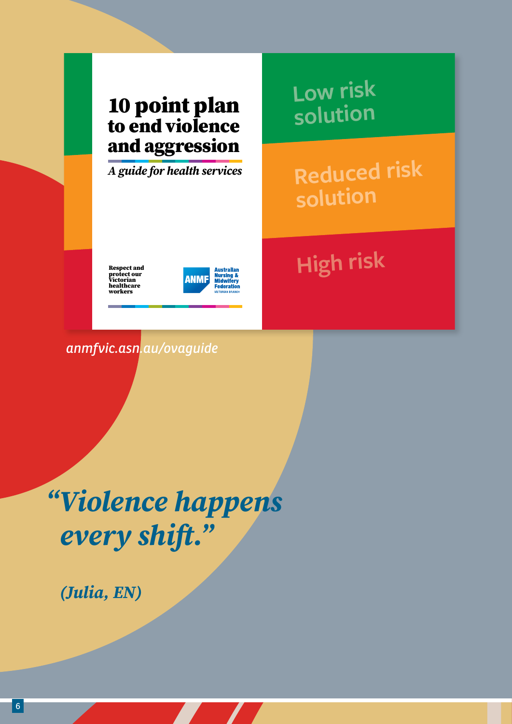# 10 point plan to end violence and aggression

*A guide for health services*

# **Low risk solution**

**Reduced risk solution**

# **High risk**

Respect and protect our Victorian healthcare workers



*anmfvic.asn.au/ovaguide*

# *"Violence happens every shift."*

*(Julia, EN)*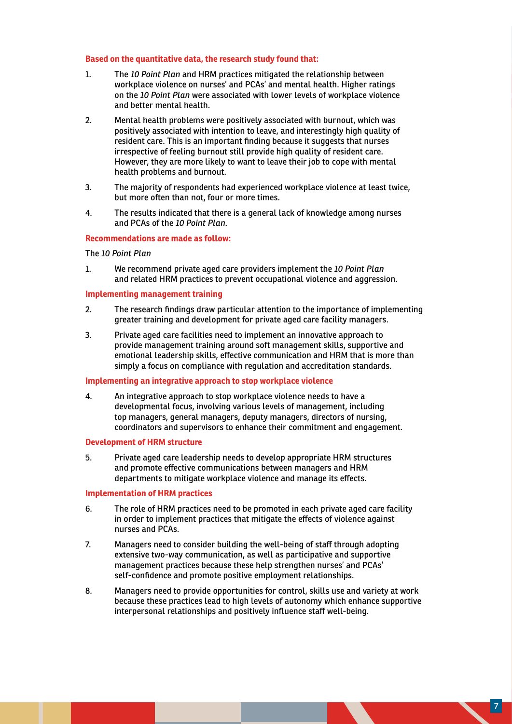#### **Based on the quantitative data, the research study found that:**

- 1. The *10 Point Plan* and HRM practices mitigated the relationship between workplace violence on nurses' and PCAs' and mental health. Higher ratings on the *10 Point Plan* were associated with lower levels of workplace violence and better mental health.
- 2. Mental health problems were positively associated with burnout, which was positively associated with intention to leave, and interestingly high quality of resident care. This is an important finding because it suggests that nurses irrespective of feeling burnout still provide high quality of resident care. However, they are more likely to want to leave their job to cope with mental health problems and burnout.
- 3. The majority of respondents had experienced workplace violence at least twice, but more often than not, four or more times.
- 4. The results indicated that there is a general lack of knowledge among nurses and PCAs of the *10 Point Plan*.

#### **Recommendations are made as follow:**

#### The *10 Point Plan*

1. We recommend private aged care providers implement the *10 Point Plan*  and related HRM practices to prevent occupational violence and aggression.

#### **Implementing management training**

- 2. The research findings draw particular attention to the importance of implementing greater training and development for private aged care facility managers.
- 3. Private aged care facilities need to implement an innovative approach to provide management training around soft management skills, supportive and emotional leadership skills, effective communication and HRM that is more than simply a focus on compliance with regulation and accreditation standards.

#### **Implementing an integrative approach to stop workplace violence**

4. An integrative approach to stop workplace violence needs to have a developmental focus, involving various levels of management, including top managers, general managers, deputy managers, directors of nursing, coordinators and supervisors to enhance their commitment and engagement.

#### **Development of HRM structure**

5. Private aged care leadership needs to develop appropriate HRM structures and promote effective communications between managers and HRM departments to mitigate workplace violence and manage its effects.

#### **Implementation of HRM practices**

- 6. The role of HRM practices need to be promoted in each private aged care facility in order to implement practices that mitigate the effects of violence against nurses and PCAs.
- 7. Managers need to consider building the well-being of staff through adopting extensive two-way communication, as well as participative and supportive management practices because these help strengthen nurses' and PCAs' self-confidence and promote positive employment relationships.
- 8. Managers need to provide opportunities for control, skills use and variety at work because these practices lead to high levels of autonomy which enhance supportive interpersonal relationships and positively influence staff well-being.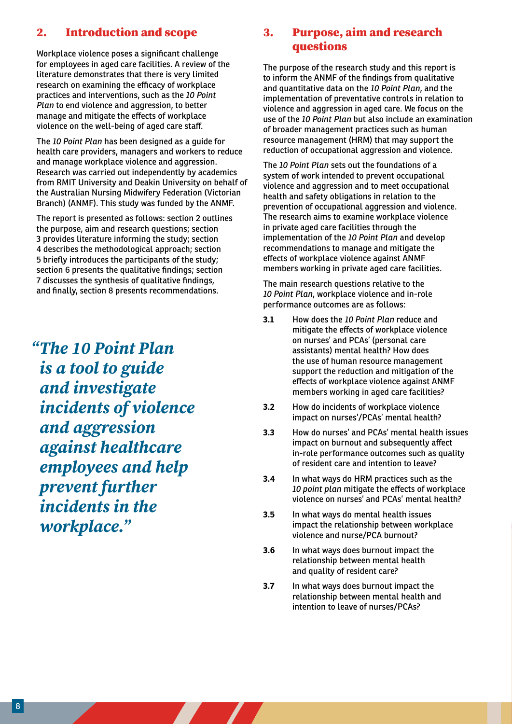## <span id="page-7-0"></span>2. Introduction and scope

Workplace violence poses a significant challenge for employees in aged care facilities. A review of the literature demonstrates that there is very limited research on examining the efficacy of workplace practices and interventions, such as the *10 Point Plan* to end violence and aggression, to better manage and mitigate the effects of workplace violence on the well-being of aged care staff.

The *10 Point Plan* has been designed as a guide for health care providers, managers and workers to reduce and manage workplace violence and aggression. Research was carried out independently by academics from RMIT University and Deakin University on behalf of the Australian Nursing Midwifery Federation (Victorian Branch) (ANMF). This study was funded by the ANMF.

The report is presented as follows: section 2 outlines the purpose, aim and research questions; section 3 provides literature informing the study; section 4 describes the methodological approach; section 5 briefly introduces the participants of the study; section 6 presents the qualitative findings; section 7 discusses the synthesis of qualitative findings, and finally, section 8 presents recommendations.

*"The 10 Point Plan is a tool to guide and investigate incidents of violence and aggression against healthcare employees and help prevent further incidents in the workplace."*

## 3. Purpose, aim and research questions

The purpose of the research study and this report is to inform the ANMF of the findings from qualitative and quantitative data on the *10 Point Plan*, and the implementation of preventative controls in relation to violence and aggression in aged care. We focus on the use of the *10 Point Plan* but also include an examination of broader management practices such as human resource management (HRM) that may support the reduction of occupational aggression and violence.

The *10 Point Plan* sets out the foundations of a system of work intended to prevent occupational violence and aggression and to meet occupational health and safety obligations in relation to the prevention of occupational aggression and violence. The research aims to examine workplace violence in private aged care facilities through the implementation of the *10 Point Plan* and develop recommendations to manage and mitigate the effects of workplace violence against ANMF members working in private aged care facilities.

The main research questions relative to the *10 Point Plan*, workplace violence and in-role performance outcomes are as follows:

- **3.1** How does the *10 Point Plan* reduce and mitigate the effects of workplace violence on nurses' and PCAs' (personal care assistants) mental health? How does the use of human resource management support the reduction and mitigation of the effects of workplace violence against ANMF members working in aged care facilities?
- **3.2** How do incidents of workplace violence impact on nurses'/PCAs' mental health?
- **3.3** How do nurses' and PCAs' mental health issues impact on burnout and subsequently affect in-role performance outcomes such as quality of resident care and intention to leave?
- **3.4** In what ways do HRM practices such as the *10 point plan* mitigate the effects of workplace violence on nurses' and PCAs' mental health?
- **3.5** In what ways do mental health issues impact the relationship between workplace violence and nurse/PCA burnout?
- **3.6** In what ways does burnout impact the relationship between mental health and quality of resident care?
- **3.7** In what ways does burnout impact the relationship between mental health and intention to leave of nurses/PCAs?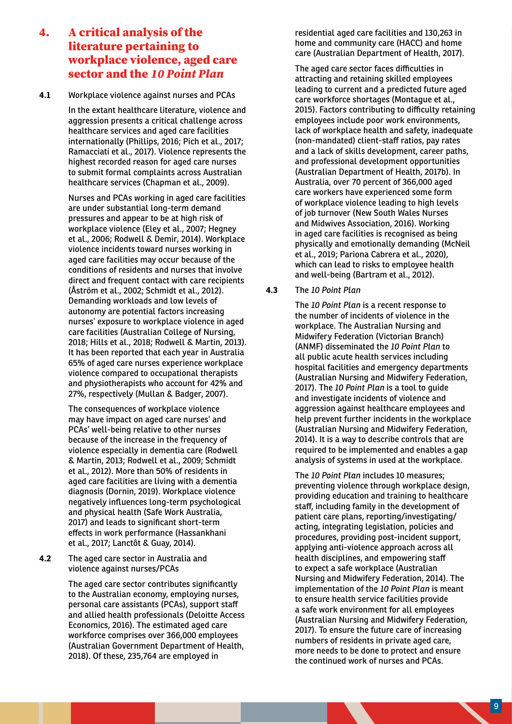## <span id="page-8-0"></span>4. A critical analysis of the literature pertaining to workplace violence, aged care sector and the *10 Point Plan*

#### **4.1** Workplace violence against nurses and PCAs

In the extant healthcare literature, violence and aggression presents a critical challenge across healthcare services and aged care facilities internationally (Phillips, 2016; Pich et al., 2017; Ramacciati et al., 2017). Violence represents the highest recorded reason for aged care nurses to submit formal complaints across Australian healthcare services (Chapman et al., 2009).

Nurses and PCAs working in aged care facilities are under substantial long-term demand pressures and appear to be at high risk of workplace violence (Eley et al., 2007; Hegney et al., 2006; Rodwell & Demir, 2014). Workplace violence incidents toward nurses working in aged care facilities may occur because of the conditions of residents and nurses that involve direct and frequent contact with care recipients (Åström et al., 2002; Schmidt et al., 2012). Demanding workloads and low levels of autonomy are potential factors increasing nurses' exposure to workplace violence in aged care facilities (Australian College of Nursing, 2018; Hills et al., 2018; Rodwell & Martin, 2013). It has been reported that each year in Australia 65% of aged care nurses experience workplace violence compared to occupational therapists and physiotherapists who account for 42% and 27%, respectively (Mullan & Badger, 2007).

The consequences of workplace violence may have impact on aged care nurses' and PCAs' well-being relative to other nurses because of the increase in the frequency of violence especially in dementia care (Rodwell & Martin, 2013; Rodwell et al., 2009; Schmidt et al., 2012). More than 50% of residents in aged care facilities are living with a dementia diagnosis (Dornin, 2019). Workplace violence negatively influences long-term psychological and physical health (Safe Work Australia, 2017) and leads to significant short-term effects in work performance (Hassankhani et al., 2017; Lanctôt & Guay, 2014).

**4.2** The aged care sector in Australia and violence against nurses/PCAs

> The aged care sector contributes significantly to the Australian economy, employing nurses, personal care assistants (PCAs), support staff and allied health professionals (Deloitte Access Economics, 2016). The estimated aged care workforce comprises over 366,000 employees (Australian Government Department of Health, 2018). Of these, 235,764 are employed in

residential aged care facilities and 130,263 in home and community care (HACC) and home care (Australian Department of Health, 2017).

The aged care sector faces difficulties in attracting and retaining skilled employees leading to current and a predicted future aged care workforce shortages (Montague et al., 2015). Factors contributing to difficulty retaining employees include poor work environments, lack of workplace health and safety, inadequate (non-mandated) client-staff ratios, pay rates and a lack of skills development, career paths, and professional development opportunities (Australian Department of Health, 2017b). In Australia, over 70 percent of 366,000 aged care workers have experienced some form of workplace violence leading to high levels of job turnover (New South Wales Nurses and Midwives Association, 2016). Working in aged care facilities is recognised as being physically and emotionally demanding (McNeil et al., 2019; Pariona Cabrera et al., 2020), which can lead to risks to employee health and well-being (Bartram et al., 2012).

#### **4.3** The *10 Point Plan*

The *10 Point Plan* is a recent response to the number of incidents of violence in the workplace. The Australian Nursing and Midwifery Federation (Victorian Branch) (ANMF) disseminated the *10 Point Plan* to all public acute health services including hospital facilities and emergency departments (Australian Nursing and Midwifery Federation, 2017). The *10 Point Plan* is a tool to guide and investigate incidents of violence and aggression against healthcare employees and help prevent further incidents in the workplace (Australian Nursing and Midwifery Federation, 2014). It is a way to describe controls that are required to be implemented and enables a gap analysis of systems in used at the workplace.

The *10 Point Plan* includes 10 measures; preventing violence through workplace design, providing education and training to healthcare staff, including family in the development of patient care plans, reporting/investigating/ acting, integrating legislation, policies and procedures, providing post-incident support, applying anti-violence approach across all health disciplines, and empowering staff to expect a safe workplace (Australian Nursing and Midwifery Federation, 2014). The implementation of the *10 Point Plan* is meant to ensure health service facilities provide a safe work environment for all employees (Australian Nursing and Midwifery Federation, 2017). To ensure the future care of increasing numbers of residents in private aged care, more needs to be done to protect and ensure the continued work of nurses and PCAs.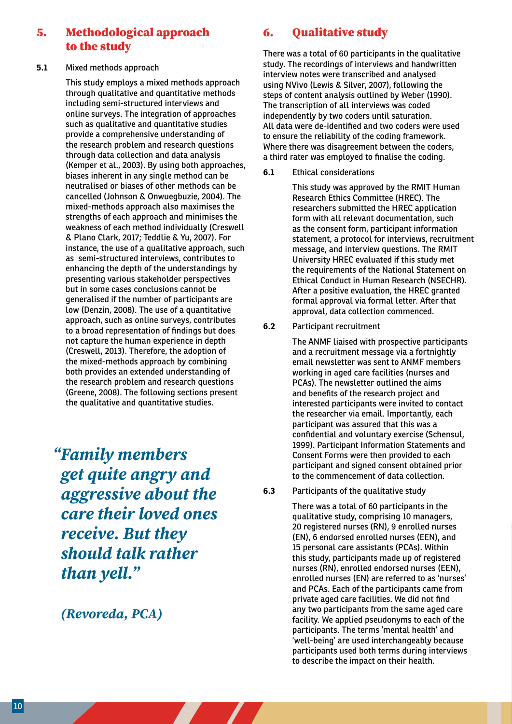### <span id="page-9-0"></span>5. Methodological approach to the study

#### **5.1** Mixed methods approach

This study employs a mixed methods approach through qualitative and quantitative methods including semi-structured interviews and online surveys. The integration of approaches such as qualitative and quantitative studies provide a comprehensive understanding of the research problem and research questions through data collection and data analysis (Kemper et al., 2003). By using both approaches, biases inherent in any single method can be neutralised or biases of other methods can be cancelled (Johnson & Onwuegbuzie, 2004). The mixed-methods approach also maximises the strengths of each approach and minimises the weakness of each method individually (Creswell & Plano Clark, 2017; Teddlie & Yu, 2007). For instance, the use of a qualitative approach, such as semi-structured interviews, contributes to enhancing the depth of the understandings by presenting various stakeholder perspectives but in some cases conclusions cannot be generalised if the number of participants are low (Denzin, 2008). The use of a quantitative approach, such as online surveys, contributes to a broad representation of findings but does not capture the human experience in depth (Creswell, 2013). Therefore, the adoption of the mixed-methods approach by combining both provides an extended understanding of the research problem and research questions (Greene, 2008). The following sections present the qualitative and quantitative studies.

*"Family members get quite angry and aggressive about the care their loved ones receive. But they should talk rather than yell."* 

*(Revoreda, PCA)*

# 6. Qualitative study

There was a total of 60 participants in the qualitative study. The recordings of interviews and handwritten interview notes were transcribed and analysed using NVivo (Lewis & Silver, 2007), following the steps of content analysis outlined by Weber (1990). The transcription of all interviews was coded independently by two coders until saturation. All data were de-identified and two coders were used to ensure the reliability of the coding framework. Where there was disagreement between the coders, a third rater was employed to finalise the coding.

**6.1** Ethical considerations

This study was approved by the RMIT Human Research Ethics Committee (HREC). The researchers submitted the HREC application form with all relevant documentation, such as the consent form, participant information statement, a protocol for interviews, recruitment message, and interview questions. The RMIT University HREC evaluated if this study met the requirements of the National Statement on Ethical Conduct in Human Research (NSECHR). After a positive evaluation, the HREC granted formal approval via formal letter. After that approval, data collection commenced.

**6.2** Participant recruitment

The ANMF liaised with prospective participants and a recruitment message via a fortnightly email newsletter was sent to ANMF members working in aged care facilities (nurses and PCAs). The newsletter outlined the aims and benefits of the research project and interested participants were invited to contact the researcher via email. Importantly, each participant was assured that this was a confidential and voluntary exercise (Schensul, 1999). Participant Information Statements and Consent Forms were then provided to each participant and signed consent obtained prior to the commencement of data collection.

**6.3** Participants of the qualitative study

There was a total of 60 participants in the qualitative study, comprising 10 managers, 20 registered nurses (RN), 9 enrolled nurses (EN), 6 endorsed enrolled nurses (EEN), and 15 personal care assistants (PCAs). Within this study, participants made up of registered nurses (RN), enrolled endorsed nurses (EEN), enrolled nurses (EN) are referred to as 'nurses' and PCAs. Each of the participants came from private aged care facilities. We did not find any two participants from the same aged care facility. We applied pseudonyms to each of the participants. The terms 'mental health' and 'well-being' are used interchangeably because participants used both terms during interviews to describe the impact on their health.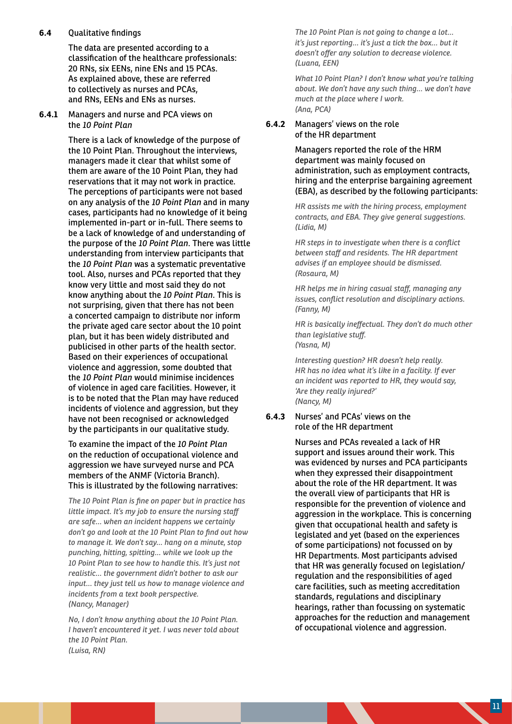#### <span id="page-10-0"></span>**6.4** Qualitative findings

The data are presented according to a classification of the healthcare professionals: 20 RNs, six EENs, nine ENs and 15 PCAs. As explained above, these are referred to collectively as nurses and PCAs, and RNs, EENs and ENs as nurses.

#### **6.4.1** Managers and nurse and PCA views on the *10 Point Plan*

There is a lack of knowledge of the purpose of the 10 Point Plan. Throughout the interviews, managers made it clear that whilst some of them are aware of the 10 Point Plan, they had reservations that it may not work in practice. The perceptions of participants were not based on any analysis of the *10 Point Plan* and in many cases, participants had no knowledge of it being implemented in-part or in-full. There seems to be a lack of knowledge of and understanding of the purpose of the *10 Point Plan*. There was little understanding from interview participants that the *10 Point Plan* was a systematic preventative tool. Also, nurses and PCAs reported that they know very little and most said they do not know anything about the *10 Point Plan*. This is not surprising, given that there has not been a concerted campaign to distribute nor inform the private aged care sector about the 10 point plan, but it has been widely distributed and publicised in other parts of the health sector. Based on their experiences of occupational violence and aggression, some doubted that the *10 Point Plan* would minimise incidences of violence in aged care facilities. However, it is to be noted that the Plan may have reduced incidents of violence and aggression, but they have not been recognised or acknowledged by the participants in our qualitative study.

To examine the impact of the *10 Point Plan* on the reduction of occupational violence and aggression we have surveyed nurse and PCA members of the ANMF (Victoria Branch). This is illustrated by the following narratives:

*The 10 Point Plan is fine on paper but in practice has little impact. It's my job to ensure the nursing staff are safe… when an incident happens we certainly don't go and look at the 10 Point Plan to find out how to manage it. We don't say… hang on a minute, stop punching, hitting, spitting… while we look up the 10 Point Plan to see how to handle this. It's just not realistic… the government didn't bother to ask our input… they just tell us how to manage violence and incidents from a text book perspective. (Nancy, Manager)*

*No, I don't know anything about the 10 Point Plan. I haven't encountered it yet. I was never told about the 10 Point Plan. (Luisa, RN)* 

*The 10 Point Plan is not going to change a lot… it's just reporting… it's just a tick the box… but it doesn't offer any solution to decrease violence. (Luana, EEN)*

*What 10 Point Plan? I don't know what you're talking about. We don't have any such thing… we don't have much at the place where I work. (Ana, PCA)*

#### **6.4.2** Managers' views on the role of the HR department

Managers reported the role of the HRM department was mainly focused on administration, such as employment contracts, hiring and the enterprise bargaining agreement (EBA), as described by the following participants:

*HR assists me with the hiring process, employment contracts, and EBA. They give general suggestions. (Lidia, M)*

*HR steps in to investigate when there is a conflict between staff and residents. The HR department advises if an employee should be dismissed. (Rosaura, M)*

*HR helps me in hiring casual staff, managing any issues, conflict resolution and disciplinary actions. (Fanny, M)*

*HR is basically ineffectual. They don't do much other than legislative stuff. (Yasna, M)*

*Interesting question? HR doesn't help really. HR has no idea what it's like in a facility. If ever an incident was reported to HR, they would say, 'Are they really injured?' (Nancy, M)*

#### **6.4.3** Nurses' and PCAs' views on the role of the HR department

Nurses and PCAs revealed a lack of HR support and issues around their work. This was evidenced by nurses and PCA participants when they expressed their disappointment about the role of the HR department. It was the overall view of participants that HR is responsible for the prevention of violence and aggression in the workplace. This is concerning given that occupational health and safety is legislated and yet (based on the experiences of some participations) not focussed on by HR Departments. Most participants advised that HR was generally focused on legislation/ regulation and the responsibilities of aged care facilities, such as meeting accreditation standards, regulations and disciplinary hearings, rather than focussing on systematic approaches for the reduction and management of occupational violence and aggression.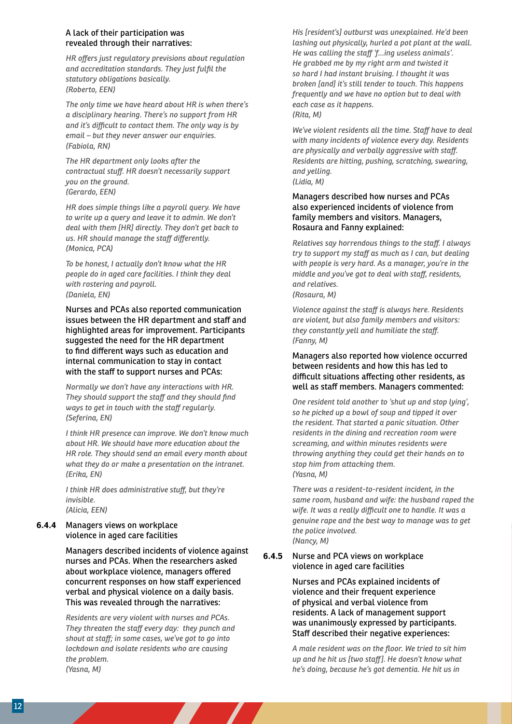#### <span id="page-11-0"></span>A lack of their participation was revealed through their narratives:

*HR offers just regulatory previsions about regulation and accreditation standards. They just fulfil the statutory obligations basically. (Roberto, EEN)*

*The only time we have heard about HR is when there's a disciplinary hearing. There's no support from HR and it's difficult to contact them. The only way is by email – but they never answer our enquiries. (Fabiola, RN)*

*The HR department only looks after the contractual stuff. HR doesn't necessarily support you on the ground. (Gerardo, EEN)* 

*HR does simple things like a payroll query. We have to write up a query and leave it to admin. We don't deal with them [HR] directly. They don't get back to us. HR should manage the staff differently. (Monica, PCA)*

*To be honest, I actually don't know what the HR people do in aged care facilities. I think they deal with rostering and payroll. (Daniela, EN)*

Nurses and PCAs also reported communication issues between the HR department and staff and highlighted areas for improvement. Participants suggested the need for the HR department to find different ways such as education and internal communication to stay in contact with the staff to support nurses and PCAs:

*Normally we don't have any interactions with HR. They should support the staff and they should find ways to get in touch with the staff regularly. (Seferina, EN)*

*I think HR presence can improve. We don't know much about HR. We should have more education about the HR role. They should send an email every month about what they do or make a presentation on the intranet. (Erika, EN)*

*I think HR does administrative stuff, but they're invisible. (Alicia, EEN)*

#### **6.4.4** Managers views on workplace violence in aged care facilities

Managers described incidents of violence against nurses and PCAs. When the researchers asked about workplace violence, managers offered concurrent responses on how staff experienced verbal and physical violence on a daily basis. This was revealed through the narratives:

*Residents are very violent with nurses and PCAs. They threaten the staff every day: they punch and shout at staff; in some cases, we've got to go into lockdown and isolate residents who are causing the problem. (Yasna, M)*

*His [resident's] outburst was unexplained. He'd been lashing out physically, hurled a pot plant at the wall. He was calling the staff 'f…ing useless animals'. He grabbed me by my right arm and twisted it so hard I had instant bruising. I thought it was broken [and] it's still tender to touch. This happens frequently and we have no option but to deal with each case as it happens. (Rita, M)*

*We've violent residents all the time. Staff have to deal with many incidents of violence every day. Residents are physically and verbally aggressive with staff. Residents are hitting, pushing, scratching, swearing, and yelling. (Lidia, M)*

Managers described how nurses and PCAs also experienced incidents of violence from family members and visitors. Managers, Rosaura and Fanny explained:

*Relatives say horrendous things to the staff. I always try to support my staff as much as I can, but dealing with people is very hard. As a manager, you're in the middle and you've got to deal with staff, residents, and relatives. (Rosaura, M)*

*Violence against the staff is always here. Residents are violent, but also family members and visitors: they constantly yell and humiliate the staff. (Fanny, M)*

#### Managers also reported how violence occurred between residents and how this has led to difficult situations affecting other residents, as well as staff members. Managers commented:

*One resident told another to 'shut up and stop lying', so he picked up a bowl of soup and tipped it over the resident. That started a panic situation. Other residents in the dining and recreation room were screaming, and within minutes residents were throwing anything they could get their hands on to stop him from attacking them. (Yasna, M)*

*There was a resident-to-resident incident, in the same room, husband and wife: the husband raped the wife. It was a really difficult one to handle. It was a genuine rape and the best way to manage was to get the police involved. (Nancy, M)*

#### **6.4.5** Nurse and PCA views on workplace violence in aged care facilities

Nurses and PCAs explained incidents of violence and their frequent experience of physical and verbal violence from residents. A lack of management support was unanimously expressed by participants. Staff described their negative experiences:

*A male resident was on the floor. We tried to sit him up and he hit us [two staff]. He doesn't know what he's doing, because he's got dementia. He hit us in*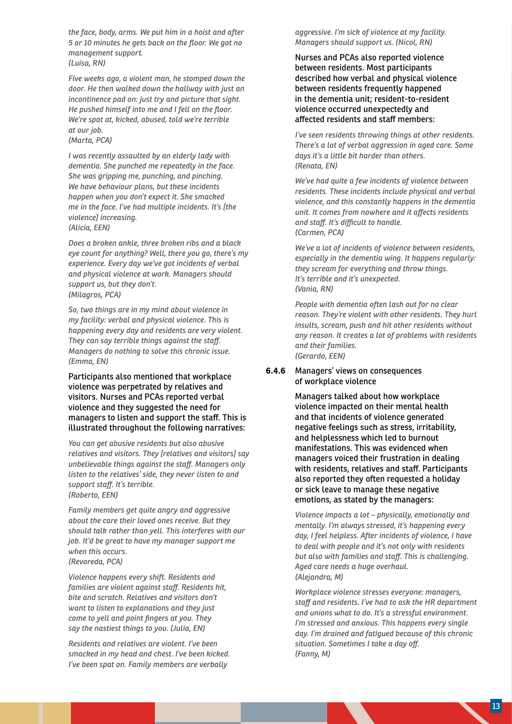<span id="page-12-0"></span>*the face, body, arms. We put him in a hoist and after 5 or 10 minutes he gets back on the floor. We got no management support. (Luisa, RN)*

*Five weeks ago, a violent man, he stomped down the door. He then walked down the hallway with just an incontinence pad on: just try and picture that sight. He pushed himself into me and I fell on the floor. We're spat at, kicked, abused, told we're terrible at our job. (Marta, PCA)*

*I was recently assaulted by an elderly lady with dementia. She punched me repeatedly in the face. She was gripping me, punching, and pinching. We have behaviour plans, but these incidents happen when you don't expect it. She smacked me in the face. I've had multiple incidents. It's [the violence] increasing.* 

*(Alicia, EEN)* 

*Does a broken ankle, three broken ribs and a black eye count for anything? Well, there you go, there's my experience. Every day we've got incidents of verbal and physical violence at work. Managers should support us, but they don't. (Milagros, PCA)*

*So, two things are in my mind about violence in my facility: verbal and physical violence. This is happening every day and residents are very violent. They can say terrible things against the staff. Managers do nothing to solve this chronic issue. (Emma, EN)*

Participants also mentioned that workplace violence was perpetrated by relatives and visitors. Nurses and PCAs reported verbal violence and they suggested the need for managers to listen and support the staff. This is illustrated throughout the following narratives:

*You can get abusive residents but also abusive relatives and visitors. They [relatives and visitors] say unbelievable things against the staff. Managers only listen to the relatives' side, they never listen to and support staff. It's terrible. (Roberto, EEN)*

*Family members get quite angry and aggressive about the care their loved ones receive. But they should talk rather than yell. This interferes with our job. It'd be great to have my manager support me when this occurs. (Revoreda, PCA)*

*Violence happens every shift. Residents and families are violent against staff. Residents hit, bite and scratch. Relatives and visitors don't want to listen to explanations and they just come to yell and point fingers at you. They say the nastiest things to you. (Julia, EN)*

*Residents and relatives are violent. I've been smacked in my head and chest. I've been kicked. I've been spat on. Family members are verbally* 

*aggressive. I'm sick of violence at my facility. Managers should support us. (Nicol, RN)*

Nurses and PCAs also reported violence between residents. Most participants described how verbal and physical violence between residents frequently happened in the dementia unit; resident-to-resident violence occurred unexpectedly and affected residents and staff members:

*I've seen residents throwing things at other residents. There's a lot of verbal aggression in aged care. Some days it's a little bit harder than others. (Renata, EN)* 

*We've had quite a few incidents of violence between residents. These incidents include physical and verbal violence, and this constantly happens in the dementia unit. It comes from nowhere and it affects residents and staff. It's difficult to handle. (Carmen, PCA)*

*We've a lot of incidents of violence between residents, especially in the dementia wing. It happens regularly: they scream for everything and throw things. It's terrible and it's unexpected. (Vania, RN)*

*People with dementia often lash out for no clear reason. They're violent with other residents. They hurl insults, scream, push and hit other residents without any reason. It creates a lot of problems with residents and their families. (Gerardo, EEN)*

#### **6.4.6** Managers' views on consequences of workplace violence

Managers talked about how workplace violence impacted on their mental health and that incidents of violence generated negative feelings such as stress, irritability, and helplessness which led to burnout manifestations. This was evidenced when managers voiced their frustration in dealing with residents, relatives and staff. Participants also reported they often requested a holiday or sick leave to manage these negative emotions, as stated by the managers:

*Violence impacts a lot – physically, emotionally and mentally. I'm always stressed, it's happening every day, I feel helpless. After incidents of violence, I have to deal with people and it's not only with residents but also with families and staff. This is challenging. Aged care needs a huge overhaul. (Alejandra, M)* 

*Workplace violence stresses everyone: managers, staff and residents. I've had to ask the HR department and unions what to do. It's a stressful environment. I'm stressed and anxious. This happens every single day. I'm drained and fatigued because of this chronic situation. Sometimes I take a day off. (Fanny, M)*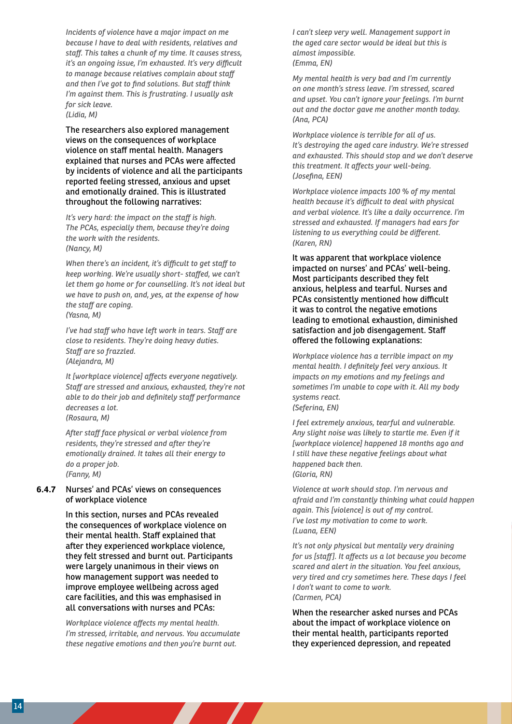<span id="page-13-0"></span>*Incidents of violence have a major impact on me because I have to deal with residents, relatives and staff. This takes a chunk of my time. It causes stress, it's an ongoing issue, I'm exhausted. It's very difficult to manage because relatives complain about staff and then I've got to find solutions. But staff think I'm against them. This is frustrating. I usually ask for sick leave. (Lidia, M)*

The researchers also explored management views on the consequences of workplace violence on staff mental health. Managers explained that nurses and PCAs were affected by incidents of violence and all the participants reported feeling stressed, anxious and upset and emotionally drained. This is illustrated throughout the following narratives:

*It's very hard: the impact on the staff is high. The PCAs, especially them, because they're doing the work with the residents. (Nancy, M)*

*When there's an incident, it's difficult to get staff to keep working. We're usually short- staffed, we can't let them go home or for counselling. It's not ideal but we have to push on, and, yes, at the expense of how the staff are coping. (Yasna, M)* 

*I've had staff who have left work in tears. Staff are close to residents. They're doing heavy duties. Staff are so frazzled. (Alejandra, M)*

*It [workplace violence] affects everyone negatively. Staff are stressed and anxious, exhausted, they're not able to do their job and definitely staff performance decreases a lot. (Rosaura, M)*

*After staff face physical or verbal violence from residents, they're stressed and after they're emotionally drained. It takes all their energy to do a proper job. (Fanny, M)*

#### **6.4.7** Nurses' and PCAs' views on consequences of workplace violence

In this section, nurses and PCAs revealed the consequences of workplace violence on their mental health. Staff explained that after they experienced workplace violence, they felt stressed and burnt out. Participants were largely unanimous in their views on how management support was needed to improve employee wellbeing across aged care facilities, and this was emphasised in all conversations with nurses and PCAs:

*Workplace violence affects my mental health. I'm stressed, irritable, and nervous. You accumulate these negative emotions and then you're burnt out.* 

*I can't sleep very well. Management support in the aged care sector would be ideal but this is almost impossible. (Emma, EN)*

*My mental health is very bad and I'm currently on one month's stress leave. I'm stressed, scared and upset. You can't ignore your feelings. I'm burnt out and the doctor gave me another month today. (Ana, PCA)*

*Workplace violence is terrible for all of us. It's destroying the aged care industry. We're stressed and exhausted. This should stop and we don't deserve this treatment. It affects your well-being. (Josefina, EEN)* 

*Workplace violence impacts 100 % of my mental health because it's difficult to deal with physical and verbal violence. It's like a daily occurrence. I'm stressed and exhausted. If managers had ears for listening to us everything could be different. (Karen, RN)*

It was apparent that workplace violence impacted on nurses' and PCAs' well-being. Most participants described they felt anxious, helpless and tearful. Nurses and PCAs consistently mentioned how difficult it was to control the negative emotions leading to emotional exhaustion, diminished satisfaction and job disengagement. Staff offered the following explanations:

*Workplace violence has a terrible impact on my mental health. I definitely feel very anxious. It impacts on my emotions and my feelings and sometimes I'm unable to cope with it. All my body systems react. (Seferina, EN)* 

*I feel extremely anxious, tearful and vulnerable. Any slight noise was likely to startle me. Even if it [workplace violence] happened 18 months ago and I still have these negative feelings about what happened back then. (Gloria, RN)* 

*Violence at work should stop. I'm nervous and afraid and I'm constantly thinking what could happen again. This [violence] is out of my control. I've lost my motivation to come to work. (Luana, EEN)*

*It's not only physical but mentally very draining for us [staff]. It affects us a lot because you become scared and alert in the situation. You feel anxious, very tired and cry sometimes here. These days I feel I don't want to come to work. (Carmen, PCA)* 

When the researcher asked nurses and PCAs about the impact of workplace violence on their mental health, participants reported they experienced depression, and repeated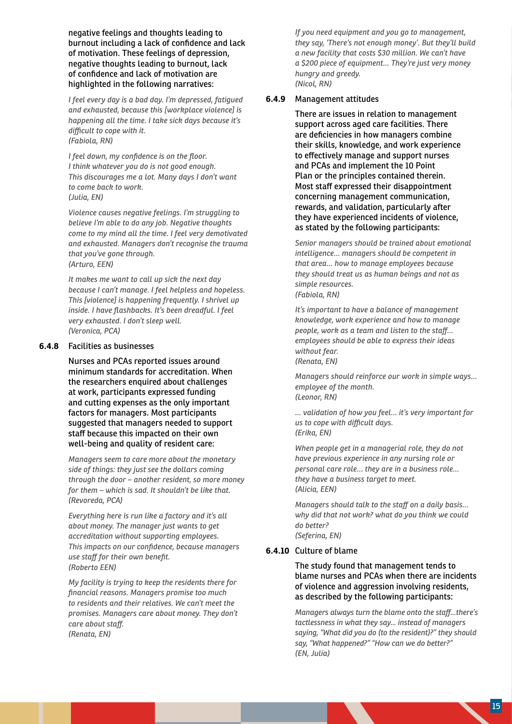<span id="page-14-0"></span>negative feelings and thoughts leading to burnout including a lack of confidence and lack of motivation. These feelings of depression, negative thoughts leading to burnout, lack of confidence and lack of motivation are highlighted in the following narratives:

*I feel every day is a bad day. I'm depressed, fatigued and exhausted, because this [workplace violence] is happening all the time. I take sick days because it's difficult to cope with it. (Fabiola, RN)*

*I feel down, my confidence is on the floor. I think whatever you do is not good enough. This discourages me a lot. Many days I don't want to come back to work. (Julia, EN)*

*Violence causes negative feelings. I'm struggling to believe I'm able to do any job. Negative thoughts come to my mind all the time. I feel very demotivated and exhausted. Managers don't recognise the trauma that you've gone through. (Arturo, EEN)*

*It makes me want to call up sick the next day because I can't manage. I feel helpless and hopeless. This [violence] is happening frequently. I shrivel up inside. I have flashbacks. It's been dreadful. I feel very exhausted. I don't sleep well. (Veronica, PCA)*

#### **6.4.8** Facilities as businesses

Nurses and PCAs reported issues around minimum standards for accreditation. When the researchers enquired about challenges at work, participants expressed funding and cutting expenses as the only important factors for managers. Most participants suggested that managers needed to support staff because this impacted on their own well-being and quality of resident care:

*Managers seem to care more about the monetary side of things: they just see the dollars coming through the door – another resident, so more money for them – which is sad. It shouldn't be like that. (Revoreda, PCA)*

*Everything here is run like a factory and it's all about money. The manager just wants to get accreditation without supporting employees. This impacts on our confidence, because managers use staff for their own benefit. (Roberto EEN)*

*My facility is trying to keep the residents there for financial reasons. Managers promise too much to residents and their relatives. We can't meet the promises. Managers care about money. They don't care about staff. (Renata, EN)*

*If you need equipment and you go to management, they say, 'There's not enough money'. But they'll build a new facility that costs \$30 million. We can't have a \$200 piece of equipment… They're just very money hungry and greedy. (Nicol, RN)*

#### **6.4.9** Management attitudes

There are issues in relation to management support across aged care facilities. There are deficiencies in how managers combine their skills, knowledge, and work experience to effectively manage and support nurses and PCAs and implement the 10 Point Plan or the principles contained therein. Most staff expressed their disappointment concerning management communication, rewards, and validation, particularly after they have experienced incidents of violence, as stated by the following participants:

*Senior managers should be trained about emotional intelligence… managers should be competent in that area… how to manage employees because they should treat us as human beings and not as simple resources. (Fabiola, RN)*

*It's important to have a balance of management knowledge, work experience and how to manage people, work as a team and listen to the staff… employees should be able to express their ideas without fear. (Renata, EN)*

*Managers should reinforce our work in simple ways… employee of the month. (Leonor, RN)*

*… validation of how you feel… it's very important for us to cope with difficult days. (Erika, EN)*

*When people get in a managerial role, they do not have previous experience in any nursing role or personal care role… they are in a business role… they have a business target to meet. (Alicia, EEN)*

*Managers should talk to the staff on a daily basis… why did that not work? what do you think we could do better? (Seferina, EN)*

#### **6.4.10** Culture of blame

The study found that management tends to blame nurses and PCAs when there are incidents of violence and aggression involving residents, as described by the following participants:

*Managers always turn the blame onto the staff...there's tactlessness in what they say... instead of managers saying, "What did you do (to the resident)?" they should say, "What happened?" "How can we do better?" (EN, Julia)*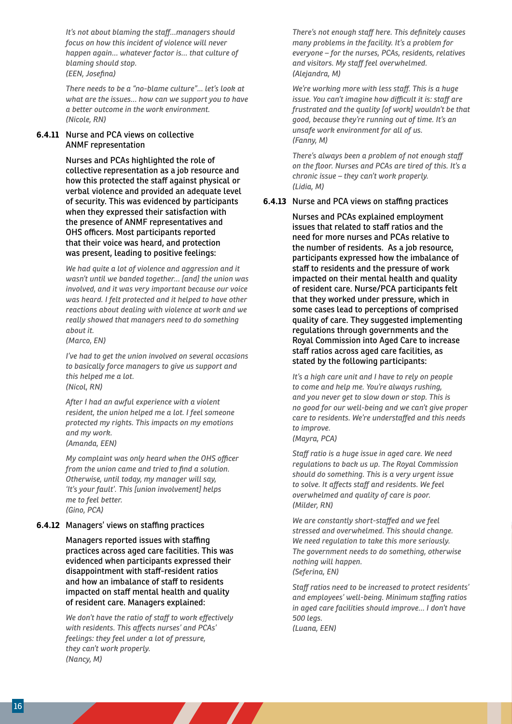<span id="page-15-0"></span>*It's not about blaming the staff…managers should focus on how this incident of violence will never happen again… whatever factor is… that culture of blaming should stop. (EEN, Josefina)*

*There needs to be a "no-blame culture"... let's look at what are the issues… how can we support you to have a better outcome in the work environment. (Nicole, RN)*

#### **6.4.11** Nurse and PCA views on collective ANMF representation

Nurses and PCAs highlighted the role of collective representation as a job resource and how this protected the staff against physical or verbal violence and provided an adequate level of security. This was evidenced by participants when they expressed their satisfaction with the presence of ANMF representatives and OHS officers. Most participants reported that their voice was heard, and protection was present, leading to positive feelings:

*We had quite a lot of violence and aggression and it wasn't until we banded together… [and] the union was involved, and it was very important because our voice was heard. I felt protected and it helped to have other reactions about dealing with violence at work and we really showed that managers need to do something about it.* 

*(Marco, EN)*

*I've had to get the union involved on several occasions to basically force managers to give us support and this helped me a lot. (Nicol, RN)*

*After I had an awful experience with a violent resident, the union helped me a lot. I feel someone protected my rights. This impacts on my emotions and my work. (Amanda, EEN)*

*My complaint was only heard when the OHS officer from the union came and tried to find a solution. Otherwise, until today, my manager will say, 'It's your fault'. This [union involvement] helps me to feel better. (Gino, PCA)*

#### **6.4.12** Managers' views on staffing practices

Managers reported issues with staffing practices across aged care facilities. This was evidenced when participants expressed their disappointment with staff-resident ratios and how an imbalance of staff to residents impacted on staff mental health and quality of resident care. Managers explained:

*We don't have the ratio of staff to work effectively with residents. This affects nurses' and PCAs' feelings: they feel under a lot of pressure, they can't work properly. (Nancy, M)*

*There's not enough staff here. This definitely causes many problems in the facility. It's a problem for everyone – for the nurses, PCAs, residents, relatives and visitors. My staff feel overwhelmed. (Alejandra, M)*

*We're working more with less staff. This is a huge issue. You can't imagine how difficult it is: staff are frustrated and the quality [of work] wouldn't be that good, because they're running out of time. It's an unsafe work environment for all of us. (Fanny, M)*

*There's always been a problem of not enough staff on the floor. Nurses and PCAs are tired of this. It's a chronic issue – they can't work properly. (Lidia, M)*

#### **6.4.13** Nurse and PCA views on staffing practices

Nurses and PCAs explained employment issues that related to staff ratios and the need for more nurses and PCAs relative to the number of residents. As a job resource, participants expressed how the imbalance of staff to residents and the pressure of work impacted on their mental health and quality of resident care. Nurse/PCA participants felt that they worked under pressure, which in some cases lead to perceptions of comprised quality of care. They suggested implementing regulations through governments and the Royal Commission into Aged Care to increase staff ratios across aged care facilities, as stated by the following participants:

*It's a high care unit and I have to rely on people to come and help me. You're always rushing, and you never get to slow down or stop. This is no good for our well-being and we can't give proper care to residents. We're understaffed and this needs to improve.* 

*(Mayra, PCA)*

*Staff ratio is a huge issue in aged care. We need regulations to back us up. The Royal Commission should do something. This is a very urgent issue to solve. It affects staff and residents. We feel overwhelmed and quality of care is poor. (Milder, RN)*

*We are constantly short-staffed and we feel stressed and overwhelmed. This should change. We need regulation to take this more seriously. The government needs to do something, otherwise nothing will happen. (Seferina, EN)*

*Staff ratios need to be increased to protect residents' and employees' well-being. Minimum staffing ratios in aged care facilities should improve… I don't have 500 legs. (Luana, EEN)*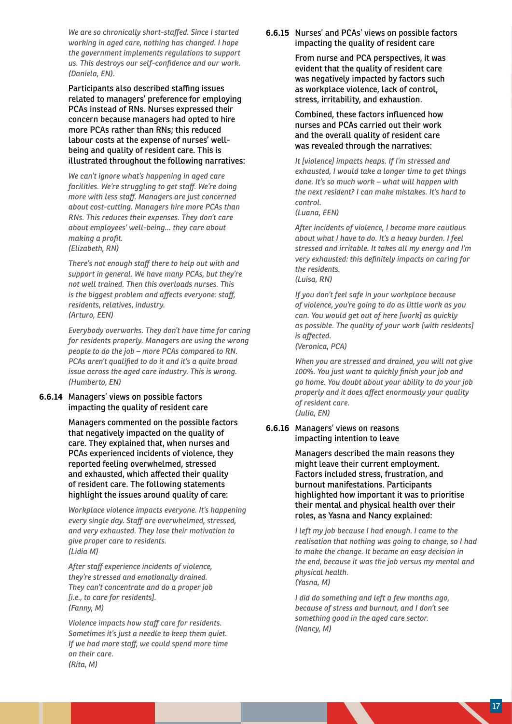<span id="page-16-0"></span>*We are so chronically short-staffed. Since I started working in aged care, nothing has changed. I hope the government implements regulations to support us. This destroys our self-confidence and our work. (Daniela, EN).*

Participants also described staffing issues related to managers' preference for employing PCAs instead of RNs. Nurses expressed their concern because managers had opted to hire more PCAs rather than RNs; this reduced labour costs at the expense of nurses' wellbeing and quality of resident care. This is illustrated throughout the following narratives:

*We can't ignore what's happening in aged care facilities. We're struggling to get staff. We're doing more with less staff. Managers are just concerned about cost-cutting. Managers hire more PCAs than RNs. This reduces their expenses. They don't care about employees' well-being… they care about making a profit. (Elizabeth, RN)* 

*There's not enough staff there to help out with and support in general. We have many PCAs, but they're not well trained. Then this overloads nurses. This is the biggest problem and affects everyone: staff, residents, relatives, industry. (Arturo, EEN)*

*Everybody overworks. They don't have time for caring for residents properly. Managers are using the wrong people to do the job – more PCAs compared to RN. PCAs aren't qualified to do it and it's a quite broad issue across the aged care industry. This is wrong. (Humberto, EN)*

#### **6.6.14** Managers' views on possible factors impacting the quality of resident care

Managers commented on the possible factors that negatively impacted on the quality of care. They explained that, when nurses and PCAs experienced incidents of violence, they reported feeling overwhelmed, stressed and exhausted, which affected their quality of resident care. The following statements highlight the issues around quality of care:

*Workplace violence impacts everyone. It's happening every single day. Staff are overwhelmed, stressed, and very exhausted. They lose their motivation to give proper care to residents. (Lidia M)*

*After staff experience incidents of violence, they're stressed and emotionally drained. They can't concentrate and do a proper job [i.e., to care for residents]. (Fanny, M)*

*Violence impacts how staff care for residents. Sometimes it's just a needle to keep them quiet. If we had more staff, we could spend more time on their care. (Rita, M)*

**6.6.15** Nurses' and PCAs' views on possible factors impacting the quality of resident care

> From nurse and PCA perspectives, it was evident that the quality of resident care was negatively impacted by factors such as workplace violence, lack of control, stress, irritability, and exhaustion.

Combined, these factors influenced how nurses and PCAs carried out their work and the overall quality of resident care was revealed through the narratives:

*It [violence] impacts heaps. If I'm stressed and exhausted, I would take a longer time to get things done. It's so much work – what will happen with the next resident? I can make mistakes. It's hard to control.* 

*(Luana, EEN)*

*After incidents of violence, I become more cautious about what I have to do. It's a heavy burden. I feel stressed and irritable. It takes all my energy and I'm very exhausted: this definitely impacts on caring for the residents. (Luisa, RN)* 

*If you don't feel safe in your workplace because of violence, you're going to do as little work as you can. You would get out of here [work] as quickly as possible. The quality of your work [with residents] is affected. (Veronica, PCA)* 

*When you are stressed and drained, you will not give 100%. You just want to quickly finish your job and go home. You doubt about your ability to do your job properly and it does affect enormously your quality of resident care. (Julia, EN)*

#### **6.6.16** Managers' views on reasons impacting intention to leave

Managers described the main reasons they might leave their current employment. Factors included stress, frustration, and burnout manifestations. Participants highlighted how important it was to prioritise their mental and physical health over their roles, as Yasna and Nancy explained:

*I left my job because I had enough. I came to the realisation that nothing was going to change, so I had to make the change. It became an easy decision in the end, because it was the job versus my mental and physical health. (Yasna, M)*

*I did do something and left a few months ago, because of stress and burnout, and I don't see something good in the aged care sector. (Nancy, M)*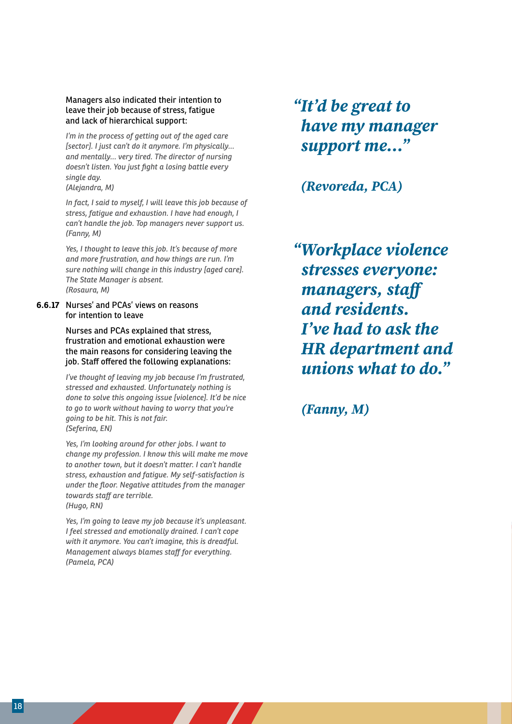#### <span id="page-17-0"></span>Managers also indicated their intention to leave their job because of stress, fatigue and lack of hierarchical support:

*I'm in the process of getting out of the aged care [sector]. I just can't do it anymore. I'm physically… and mentally… very tired. The director of nursing doesn't listen. You just fight a losing battle every single day. (Alejandra, M)*

*In fact, I said to myself, I will leave this job because of stress, fatigue and exhaustion. I have had enough, I can't handle the job. Top managers never support us. (Fanny, M)*

*Yes, I thought to leave this job. It's because of more and more frustration, and how things are run. I'm sure nothing will change in this industry [aged care]. The State Manager is absent. (Rosaura, M)*

#### **6.6.17** Nurses' and PCAs' views on reasons for intention to leave

Nurses and PCAs explained that stress, frustration and emotional exhaustion were the main reasons for considering leaving the job. Staff offered the following explanations:

*I've thought of leaving my job because I'm frustrated, stressed and exhausted. Unfortunately nothing is done to solve this ongoing issue [violence]. It'd be nice to go to work without having to worry that you're going to be hit. This is not fair. (Seferina, EN)*

*Yes, I'm looking around for other jobs. I want to change my profession. I know this will make me move to another town, but it doesn't matter. I can't handle stress, exhaustion and fatigue. My self-satisfaction is under the floor. Negative attitudes from the manager towards staff are terrible. (Hugo, RN)*

*Yes, I'm going to leave my job because it's unpleasant. I feel stressed and emotionally drained. I can't cope with it anymore. You can't imagine, this is dreadful. Management always blames staff for everything. (Pamela, PCA)*

*"It'd be great to have my manager support me…"* 

*(Revoreda, PCA)*

*"Workplace violence stresses everyone: managers, staff and residents. I've had to ask the HR department and unions what to do."*

*(Fanny, M)*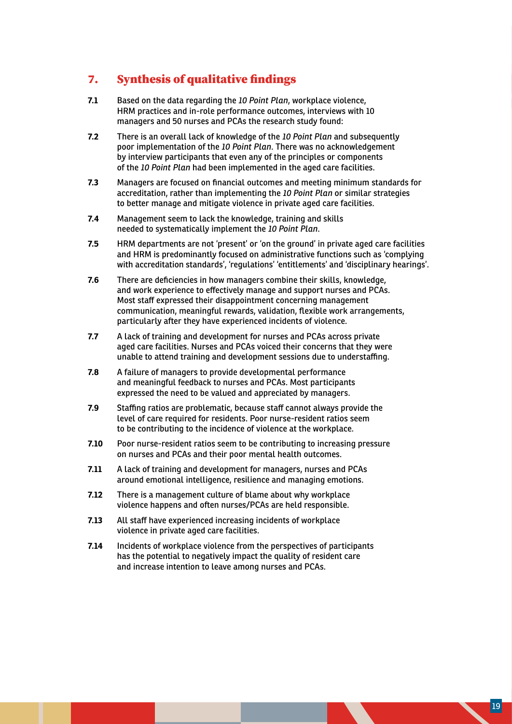## <span id="page-18-0"></span>7. Synthesis of qualitative findings

- **7.1** Based on the data regarding the *10 Point Plan*, workplace violence, HRM practices and in-role performance outcomes, interviews with 10 managers and 50 nurses and PCAs the research study found:
- **7.2** There is an overall lack of knowledge of the *10 Point Plan* and subsequently poor implementation of the *10 Point Plan*. There was no acknowledgement by interview participants that even any of the principles or components of the *10 Point Plan* had been implemented in the aged care facilities.
- **7.3** Managers are focused on financial outcomes and meeting minimum standards for accreditation, rather than implementing the *10 Point Plan* or similar strategies to better manage and mitigate violence in private aged care facilities.
- **7.4** Management seem to lack the knowledge, training and skills needed to systematically implement the *10 Point Plan*.
- **7.5** HRM departments are not 'present' or 'on the ground' in private aged care facilities and HRM is predominantly focused on administrative functions such as 'complying with accreditation standards', 'regulations' 'entitlements' and 'disciplinary hearings'.
- **7.6** There are deficiencies in how managers combine their skills, knowledge, and work experience to effectively manage and support nurses and PCAs. Most staff expressed their disappointment concerning management communication, meaningful rewards, validation, flexible work arrangements, particularly after they have experienced incidents of violence.
- **7.7** A lack of training and development for nurses and PCAs across private aged care facilities. Nurses and PCAs voiced their concerns that they were unable to attend training and development sessions due to understaffing.
- **7.8** A failure of managers to provide developmental performance and meaningful feedback to nurses and PCAs. Most participants expressed the need to be valued and appreciated by managers.
- **7.9** Staffing ratios are problematic, because staff cannot always provide the level of care required for residents. Poor nurse-resident ratios seem to be contributing to the incidence of violence at the workplace.
- **7.10** Poor nurse-resident ratios seem to be contributing to increasing pressure on nurses and PCAs and their poor mental health outcomes.
- **7.11** A lack of training and development for managers, nurses and PCAs around emotional intelligence, resilience and managing emotions.
- **7.12** There is a management culture of blame about why workplace violence happens and often nurses/PCAs are held responsible.
- **7.13** All staff have experienced increasing incidents of workplace violence in private aged care facilities.
- **7.14** Incidents of workplace violence from the perspectives of participants has the potential to negatively impact the quality of resident care and increase intention to leave among nurses and PCAs.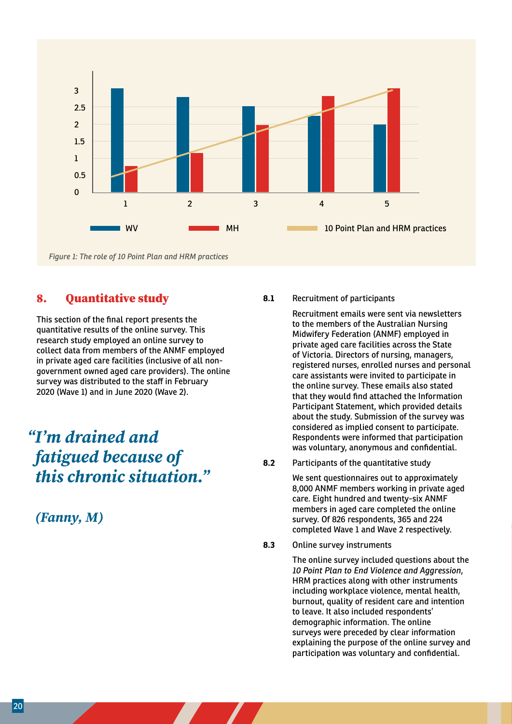<span id="page-19-0"></span>

*Figure 1: The role of 10 Point Plan and HRM practices*

# 8. Quantitative study

This section of the final report presents the quantitative results of the online survey. This research study employed an online survey to collect data from members of the ANMF employed in private aged care facilities (inclusive of all nongovernment owned aged care providers). The online survey was distributed to the staff in February 2020 (Wave 1) and in June 2020 (Wave 2).

# *"I'm drained and fatigued because of this chronic situation."*

# *(Fanny, M)*

#### **8.1** Recruitment of participants

Recruitment emails were sent via newsletters to the members of the Australian Nursing Midwifery Federation (ANMF) employed in private aged care facilities across the State of Victoria. Directors of nursing, managers, registered nurses, enrolled nurses and personal care assistants were invited to participate in the online survey. These emails also stated that they would find attached the Information Participant Statement, which provided details about the study. Submission of the survey was considered as implied consent to participate. Respondents were informed that participation was voluntary, anonymous and confidential.

**8.2** Participants of the quantitative study

We sent questionnaires out to approximately 8,000 ANMF members working in private aged care. Eight hundred and twenty-six ANMF members in aged care completed the online survey. Of 826 respondents, 365 and 224 completed Wave 1 and Wave 2 respectively.

**8.3** Online survey instruments

The online survey included questions about the *10 Point Plan to End Violence and Aggression*, HRM practices along with other instruments including workplace violence, mental health, burnout, quality of resident care and intention to leave. It also included respondents' demographic information. The online surveys were preceded by clear information explaining the purpose of the online survey and participation was voluntary and confidential.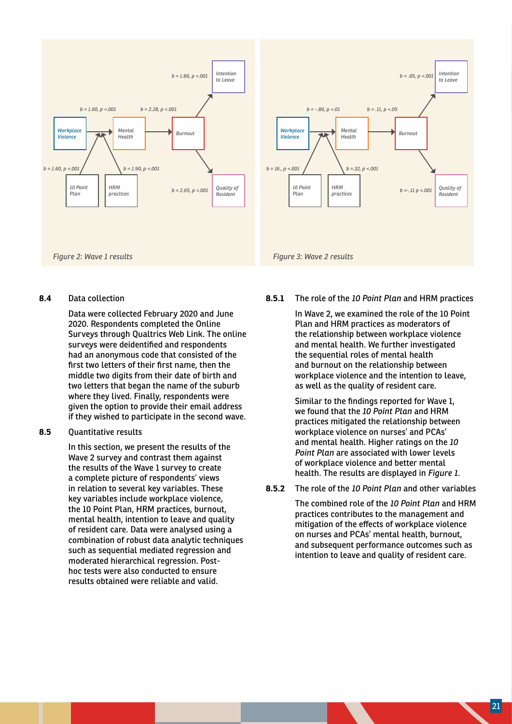<span id="page-20-0"></span>

#### **8.4** Data collection

Data were collected February 2020 and June 2020. Respondents completed the Online Surveys through Qualtrics Web Link. The online surveys were deidentified and respondents had an anonymous code that consisted of the first two letters of their first name, then the middle two digits from their date of birth and two letters that began the name of the suburb where they lived. Finally, respondents were given the option to provide their email address if they wished to participate in the second wave.

#### **8.5** Quantitative results

In this section, we present the results of the Wave 2 survey and contrast them against the results of the Wave 1 survey to create a complete picture of respondents' views in relation to several key variables. These key variables include workplace violence, the 10 Point Plan, HRM practices, burnout, mental health, intention to leave and quality of resident care. Data were analysed using a combination of robust data analytic techniques such as sequential mediated regression and moderated hierarchical regression. Posthoc tests were also conducted to ensure results obtained were reliable and valid.

#### **8.5.1** The role of the *10 Point Plan* and HRM practices

In Wave 2, we examined the role of the 10 Point Plan and HRM practices as moderators of the relationship between workplace violence and mental health. We further investigated the sequential roles of mental health and burnout on the relationship between workplace violence and the intention to leave, as well as the quality of resident care.

Similar to the findings reported for Wave 1, we found that the *10 Point Plan* and HRM practices mitigated the relationship between workplace violence on nurses' and PCAs' and mental health. Higher ratings on the *10 Point Plan* are associated with lower levels of workplace violence and better mental health. The results are displayed in *Figure 1*.

#### **8.5.2** The role of the *10 Point Plan* and other variables

The combined role of the *10 Point Plan* and HRM practices contributes to the management and mitigation of the effects of workplace violence on nurses and PCAs' mental health, burnout, and subsequent performance outcomes such as intention to leave and quality of resident care.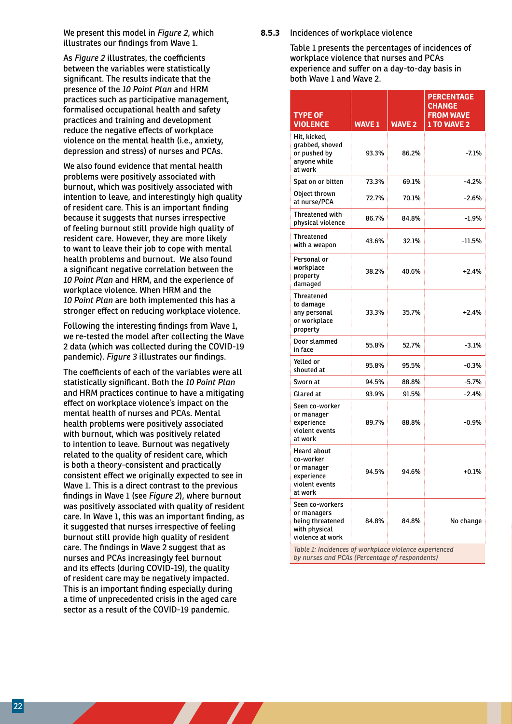<span id="page-21-0"></span>We present this model in *Figure 2*, which illustrates our findings from Wave 1.

As *Figure 2* illustrates, the coefficients between the variables were statistically significant. The results indicate that the presence of the *10 Point Plan* and HRM practices such as participative management, formalised occupational health and safety practices and training and development reduce the negative effects of workplace violence on the mental health (i.e., anxiety, depression and stress) of nurses and PCAs.

We also found evidence that mental health problems were positively associated with burnout, which was positively associated with intention to leave, and interestingly high quality of resident care. This is an important finding because it suggests that nurses irrespective of feeling burnout still provide high quality of resident care. However, they are more likely to want to leave their job to cope with mental health problems and burnout. We also found a significant negative correlation between the *10 Point Plan* and HRM, and the experience of workplace violence. When HRM and the *10 Point Plan* are both implemented this has a stronger effect on reducing workplace violence.

Following the interesting findings from Wave 1, we re-tested the model after collecting the Wave 2 data (which was collected during the COVID-19 pandemic). *Figure 3* illustrates our findings.

The coefficients of each of the variables were all statistically significant. Both the *10 Point Plan* and HRM practices continue to have a mitigating effect on workplace violence's impact on the mental health of nurses and PCAs. Mental health problems were positively associated with burnout, which was positively related to intention to leave. Burnout was negatively related to the quality of resident care, which is both a theory-consistent and practically consistent effect we originally expected to see in Wave 1. This is a direct contrast to the previous findings in Wave 1 (see *Figure 2*), where burnout was positively associated with quality of resident care. In Wave 1, this was an important finding, as it suggested that nurses irrespective of feeling burnout still provide high quality of resident care. The findings in Wave 2 suggest that as nurses and PCAs increasingly feel burnout and its effects (during COVID-19), the quality of resident care may be negatively impacted. This is an important finding especially during a time of unprecedented crisis in the aged care sector as a result of the COVID-19 pandemic.

**8.5.3** Incidences of workplace violence

Table 1 presents the percentages of incidences of workplace violence that nurses and PCAs experience and suffer on a day-to-day basis in both Wave 1 and Wave 2.

| <b>TYPE OF</b><br><b>VIOLENCE</b>                                                        | <b>WAVE 1</b> | <b>WAVE 2</b> | <b>PERCENTAGE</b><br><b>CHANGE</b><br><b>FROM WAVE</b><br><b>1 TO WAVE 2</b> |
|------------------------------------------------------------------------------------------|---------------|---------------|------------------------------------------------------------------------------|
| Hit, kicked,<br>grabbed, shoved<br>or pushed by<br>anyone while<br>at work               | 93.3%         | 86.2%         | -7.1%                                                                        |
| Spat on or bitten                                                                        | 73.3%         | 69.1%         | $-4.2%$                                                                      |
| Object thrown<br>at nurse/PCA                                                            | 72.7%         | 70.1%         | -2.6%                                                                        |
| <b>Threatened with</b><br>physical violence                                              | 86.7%         | 84.8%         | $-1.9%$                                                                      |
| <b>Threatened</b><br>with a weapon                                                       | 43.6%         | 32.1%         | -11.5%                                                                       |
| Personal or<br>workplace<br>property<br>damaged                                          | 38.2%         | 40.6%         | $+2.4%$                                                                      |
| <b>Threatened</b><br>to damage<br>any personal<br>or workplace<br>property               | 33.3%         | 35.7%         | $+2.4%$                                                                      |
| Door slammed<br>in face                                                                  | 55.8%         | 52.7%         | $-3.1%$                                                                      |
| Yelled or<br>shouted at                                                                  | 95.8%         | 95.5%         | -0.3%                                                                        |
| Sworn at                                                                                 | 94.5%         | 88.8%         | $-5.7%$                                                                      |
| Glared at                                                                                | 93.9%         | 91.5%         | $-2.4%$                                                                      |
| Seen co-worker<br>or manager<br>experience<br>violent events<br>at work                  | 89.7%         | 88.8%         | -0.9%                                                                        |
| <b>Heard about</b><br>co-worker<br>or manager<br>experience<br>violent events<br>at work | 94.5%         | 94.6%         | $+0.1%$                                                                      |
| Seen co-workers<br>or managers<br>being threatened<br>with physical<br>violence at work  | 84.8%         | 84.8%         | No change                                                                    |

*Table 1: Incidences of workplace violence experienced by nurses and PCAs (Percentage of respondents)*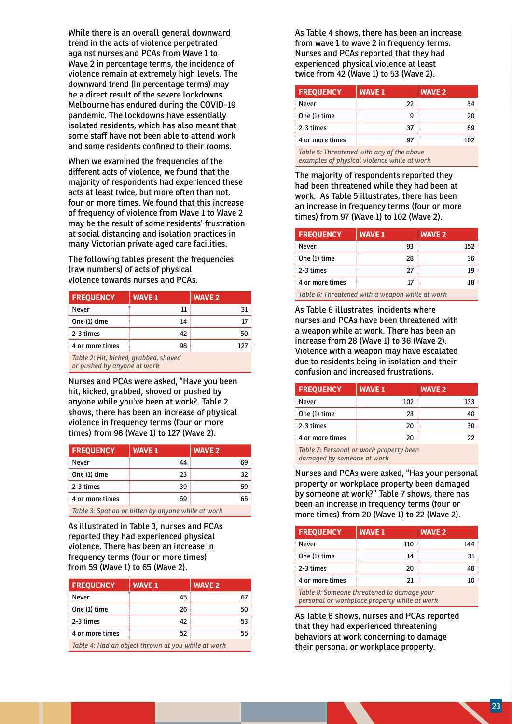While there is an overall general downward trend in the acts of violence perpetrated against nurses and PCAs from Wave 1 to Wave 2 in percentage terms, the incidence of violence remain at extremely high levels. The downward trend (in percentage terms) may be a direct result of the severe lockdowns Melbourne has endured during the COVID-19 pandemic. The lockdowns have essentially isolated residents, which has also meant that some staff have not been able to attend work and some residents confined to their rooms.

When we examined the frequencies of the different acts of violence, we found that the majority of respondents had experienced these acts at least twice, but more often than not, four or more times. We found that this increase of frequency of violence from Wave 1 to Wave 2 may be the result of some residents' frustration at social distancing and isolation practices in many Victorian private aged care facilities.

The following tables present the frequencies (raw numbers) of acts of physical violence towards nurses and PCAs.

| <b>FREQUENCY</b>                                                     | <b>WAVE 1</b> | <b>WAVE 2</b> |  |
|----------------------------------------------------------------------|---------------|---------------|--|
| Never                                                                | 11            | 31            |  |
| One (1) time                                                         | 14            | 17            |  |
| 2-3 times                                                            | 42            | 50            |  |
| 4 or more times                                                      | 98            | 127           |  |
| Table 2: Hit, kicked, grabbed, shoved<br>or pushed by anyone at work |               |               |  |

Nurses and PCAs were asked, "Have you been hit, kicked, grabbed, shoved or pushed by anyone while you've been at work?. Table 2 shows, there has been an increase of physical violence in frequency terms (four or more times) from 98 (Wave 1) to 127 (Wave 2).

| <b>FREQUENCY</b>                                   | <b>WAVE 1</b> | <b>WAVE 2</b> |  |
|----------------------------------------------------|---------------|---------------|--|
| Never                                              | 44            | 69            |  |
| One (1) time                                       | 23            | 32            |  |
| 2-3 times                                          | 39            | 59            |  |
| 4 or more times                                    | 59            | 65            |  |
| Table 3: Spat on or bitten by anyone while at work |               |               |  |

As illustrated in Table 3, nurses and PCAs reported they had experienced physical violence. There has been an increase in frequency terms (four or more times) from 59 (Wave 1) to 65 (Wave 2).

| <b>FREQUENCY</b>                                   | <b>WAVE 1</b> | <b>WAVE 2</b> |
|----------------------------------------------------|---------------|---------------|
| Never                                              | 45            | 67            |
| One (1) time                                       | 26            | 50            |
| $\frac{1}{2}$ 2-3 times                            | 42            | 53            |
| 4 or more times                                    | 52            | 55            |
| Table 4: Had an object thrown at you while at work |               |               |

As Table 4 shows, there has been an increase from wave 1 to wave 2 in frequency terms. Nurses and PCAs reported that they had experienced physical violence at least twice from 42 (Wave 1) to 53 (Wave 2).

| <b>FREQUENCY</b>                                                                         | <b>WAVE 1</b> | <b>WAVE 2</b> |
|------------------------------------------------------------------------------------------|---------------|---------------|
| Never                                                                                    | 22            | 34            |
| One (1) time                                                                             | 9             | 20            |
| 2-3 times                                                                                | 37            | 69            |
| 4 or more times                                                                          | 97            | 102           |
| Table 5: Threatened with any of the above<br>examples of physical violence while at work |               |               |

The majority of respondents reported they had been threatened while they had been at work. As Table 5 illustrates, there has been an increase in frequency terms (four or more times) from 97 (Wave 1) to 102 (Wave 2).

| <b>FREQUENCY</b>        | <b>WAVE 1</b> | <b>WAVE 2</b> |
|-------------------------|---------------|---------------|
| Never                   | 93            | 152           |
| One (1) time            | 28            | 36            |
| $\frac{1}{2}$ 2-3 times | 27            | 19            |
| 4 or more times         | 17            | 18            |
|                         |               |               |

*Table 6: Threatened with a weapon while at work*

As Table 6 illustrates, incidents where nurses and PCAs have been threatened with a weapon while at work. There has been an increase from 28 (Wave 1) to 36 (Wave 2). Violence with a weapon may have escalated due to residents being in isolation and their confusion and increased frustrations.

| <b>FREQUENCY</b>                                                      | <b>WAVE 1</b> | <b>WAVE 2</b> |  |
|-----------------------------------------------------------------------|---------------|---------------|--|
| Never                                                                 | 102           | 133           |  |
| One (1) time                                                          | 23            | 40            |  |
| $2-3$ times                                                           | 20            | 30            |  |
| 4 or more times                                                       | 20            | 22            |  |
| Table 7: Personal or work property been<br>damaged by someone at work |               |               |  |

Nurses and PCAs were asked, "Has your personal property or workplace property been damaged by someone at work?" Table 7 shows, there has been an increase in frequency terms (four or more times) from 20 (Wave 1) to 22 (Wave 2).

| <b>FREQUENCY</b>                           | <b>WAVE 1</b> | <b>WAVE 2</b> |
|--------------------------------------------|---------------|---------------|
| Never                                      | 110           | 144           |
| One (1) time                               | 14            | 31            |
| $\frac{1}{2}$ 2-3 times                    | 20            | 40            |
| 4 or more times                            | 21            | 10            |
| Table 8: Someone threatened to damage your |               |               |

*personal or workplace property while at work*

As Table 8 shows, nurses and PCAs reported that they had experienced threatening behaviors at work concerning to damage their personal or workplace property.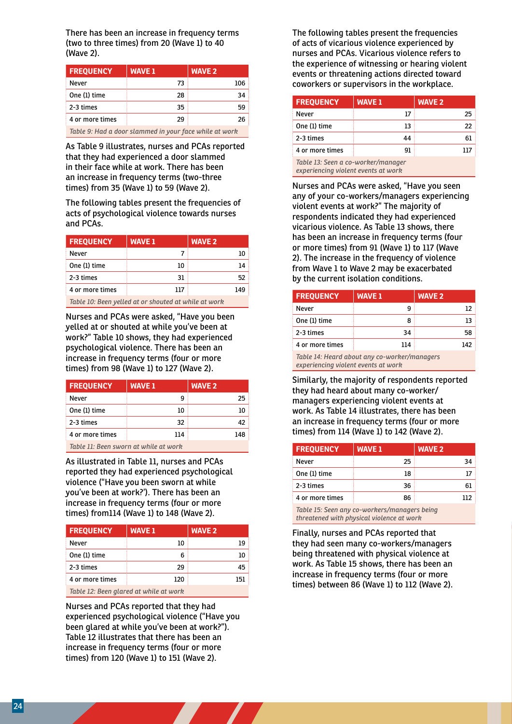There has been an increase in frequency terms (two to three times) from 20 (Wave 1) to 40 (Wave 2).

| <b>FREQUENCY</b>                                       | <b>WAVE 1</b> | <b>WAVE 2</b> |
|--------------------------------------------------------|---------------|---------------|
| Never                                                  | 73            | 106           |
| One (1) time                                           | 28            | 34            |
| $\frac{1}{2}$ 2-3 times                                | 35            | 59            |
| 4 or more times                                        | 29            | 26            |
| Table 9: Had a door slammed in your face while at work |               |               |

As Table 9 illustrates, nurses and PCAs reported that they had experienced a door slammed in their face while at work. There has been an increase in frequency terms (two-three times) from 35 (Wave 1) to 59 (Wave 2).

The following tables present the frequencies of acts of psychological violence towards nurses and PCAs.

| <b>FREQUENCY</b>                                     | <b>WAVE 1</b> | <b>WAVE 2</b> |  |
|------------------------------------------------------|---------------|---------------|--|
| <b>Never</b>                                         |               | 10            |  |
| One (1) time                                         | 10            | 14            |  |
| 2-3 times                                            | 31            | 52            |  |
| 4 or more times                                      | 117           | 149           |  |
| Table 10: Been yelled at or shouted at while at work |               |               |  |

Nurses and PCAs were asked, "Have you been yelled at or shouted at while you've been at work?" Table 10 shows, they had experienced psychological violence. There has been an increase in frequency terms (four or more times) from 98 (Wave 1) to 127 (Wave 2).

| <b>FREQUENCY</b>                      | <b>WAVE 1</b> | <b>WAVE 2</b> |  |
|---------------------------------------|---------------|---------------|--|
| Never                                 | 9             | 25            |  |
| One (1) time                          | 10            | 10            |  |
| 2-3 times                             | 32            |               |  |
| 4 or more times                       | 114           | 148           |  |
| Table 11: Been sworn at while at work |               |               |  |

As illustrated in Table 11, nurses and PCAs reported they had experienced psychological violence ("Have you been sworn at while you've been at work?'). There has been an increase in frequency terms (four or more times) from114 (Wave 1) to 148 (Wave 2).

| <b>FREQUENCY</b>                       | <b>WAVE 1</b> | <b>WAVE 2</b> |  |  |
|----------------------------------------|---------------|---------------|--|--|
| Never                                  | 10            | 19            |  |  |
| One (1) time                           | 6             | 10            |  |  |
| $\frac{1}{2}$ 2-3 times                | 29            | 45            |  |  |
| 4 or more times                        | 120           | 151           |  |  |
| Table 12: Been glared at while at work |               |               |  |  |

Nurses and PCAs reported that they had experienced psychological violence ("Have you been glared at while you've been at work?"). Table 12 illustrates that there has been an increase in frequency terms (four or more times) from 120 (Wave 1) to 151 (Wave 2).

The following tables present the frequencies of acts of vicarious violence experienced by nurses and PCAs. Vicarious violence refers to the experience of witnessing or hearing violent events or threatening actions directed toward coworkers or supervisors in the workplace.

| <b>FREQUENCY</b>                                                          | <b>WAVE 1.</b> | <b>WAVE 2</b> |  |
|---------------------------------------------------------------------------|----------------|---------------|--|
| Never                                                                     | 17             | 25            |  |
| One (1) time                                                              | 13             | 22            |  |
| 2-3 times                                                                 | 44             | 61            |  |
| 4 or more times                                                           | 91             |               |  |
| Table 13: Seen a co-worker/manager<br>experiencing violent events at work |                |               |  |

Nurses and PCAs were asked, "Have you seen any of your co-workers/managers experiencing violent events at work?" The majority of respondents indicated they had experienced vicarious violence. As Table 13 shows, there has been an increase in frequency terms (four or more times) from 91 (Wave 1) to 117 (Wave 2). The increase in the frequency of violence from Wave 1 to Wave 2 may be exacerbated by the current isolation conditions.

| <b>FREQUENCY</b>                                                                    | <b>WAVE 1</b> | <b>WAVE 2</b> |
|-------------------------------------------------------------------------------------|---------------|---------------|
| Never                                                                               | 9             | 12            |
| One (1) time                                                                        | 8             | 13            |
| $\frac{1}{2}$ 2-3 times                                                             | 34            | 58            |
| 4 or more times                                                                     | 114           | 142           |
| Table 14: Heard about any co-worker/managers<br>experiencing violent events at work |               |               |

Similarly, the majority of respondents reported they had heard about many co-worker/ managers experiencing violent events at work. As Table 14 illustrates, there has been an increase in frequency terms (four or more times) from 114 (Wave 1) to 142 (Wave 2).

| <b>FREQUENCY</b>                                                                          | <b>WAVE 1.</b> | <b>WAVE 2</b> |
|-------------------------------------------------------------------------------------------|----------------|---------------|
| <b>Never</b>                                                                              | 25             | 34            |
| One (1) time                                                                              | 18             | 17            |
| 2-3 times                                                                                 | 36             | 61            |
| 4 or more times                                                                           | 86             | 112           |
| Table 15: Seen any co-workers/managers being<br>threatened with physical violence at work |                |               |

Finally, nurses and PCAs reported that they had seen many co-workers/managers being threatened with physical violence at work. As Table 15 shows, there has been an increase in frequency terms (four or more times) between 86 (Wave 1) to 112 (Wave 2).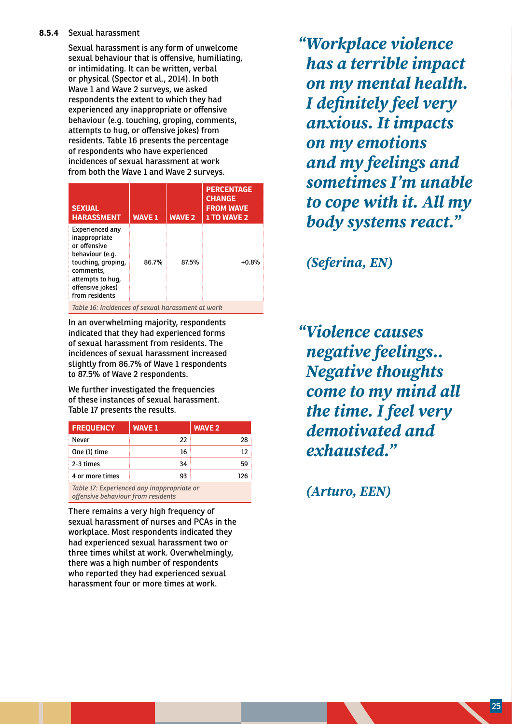#### <span id="page-24-0"></span>**8.5.4** Sexual harassment

Sexual harassment is any form of unwelcome sexual behaviour that is offensive, humiliating, or intimidating. It can be written, verbal or physical (Spector et al., 2014). In both Wave 1 and Wave 2 surveys, we asked respondents the extent to which they had experienced any inappropriate or offensive behaviour (e.g. touching, groping, comments, attempts to hug, or offensive jokes) from residents. Table 16 presents the percentage of respondents who have experienced incidences of sexual harassment at work from both the Wave 1 and Wave 2 surveys.

| <b>SEXUAL</b><br><b>HARASSMENT</b>                                                                                                                                      | <b>WAVE 1</b> | <b>WAVE 2</b> | <b>PERCENTAGE</b><br><b>CHANGE</b><br><b>FROM WAVE</b><br><b>1 TO WAVE 2</b> |
|-------------------------------------------------------------------------------------------------------------------------------------------------------------------------|---------------|---------------|------------------------------------------------------------------------------|
| <b>Experienced any</b><br>inappropriate<br>or offensive<br>behaviour (e.g.<br>touching, groping,<br>comments,<br>attempts to hug,<br>offensive jokes)<br>from residents | 86.7%         | 87.5%         | $+0.8%$                                                                      |
| Table 16: Incidences of sexual harassment at work                                                                                                                       |               |               |                                                                              |

In an overwhelming majority, respondents indicated that they had experienced forms of sexual harassment from residents. The incidences of sexual harassment increased slightly from 86.7% of Wave 1 respondents to 87.5% of Wave 2 respondents.

We further investigated the frequencies of these instances of sexual harassment. Table 17 presents the results.

| <b>FREQUENCY</b>                                                                 | <b>WAVE 1</b> | <b>WAVE 2</b> |
|----------------------------------------------------------------------------------|---------------|---------------|
| Never                                                                            | 22            | 28            |
| One (1) time                                                                     | 16            | 12            |
| $\frac{1}{2}$ 2-3 times                                                          | 34            | 59            |
| 4 or more times                                                                  | 93            | 126           |
| Table 17: Experienced any inappropriate or<br>offensive behaviour from residents |               |               |

There remains a very high frequency of sexual harassment of nurses and PCAs in the workplace. Most respondents indicated they had experienced sexual harassment two or three times whilst at work. Overwhelmingly, there was a high number of respondents who reported they had experienced sexual harassment four or more times at work.

*"Workplace violence has a terrible impact on my mental health. I definitely feel very anxious. It impacts on my emotions and my feelings and sometimes I'm unable to cope with it. All my body systems react."* 

*(Seferina, EN)*

*"Violence causes negative feelings.. Negative thoughts come to my mind all the time. I feel very demotivated and exhausted."* 

*(Arturo, EEN)*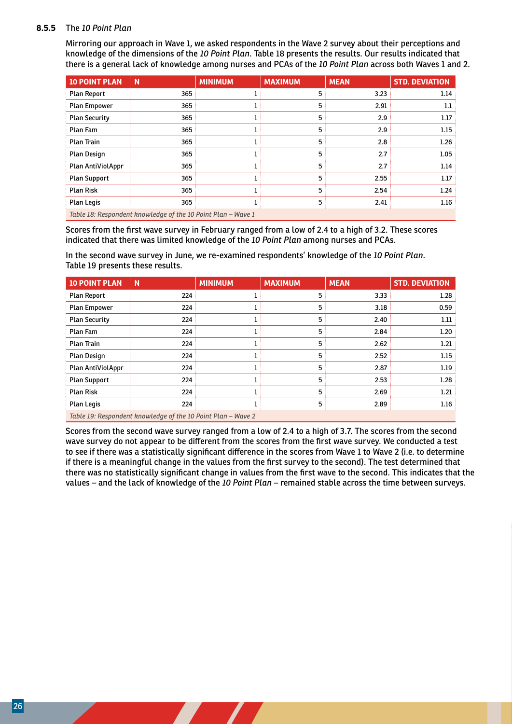#### <span id="page-25-0"></span>**8.5.5** The *10 Point Plan*

Mirroring our approach in Wave 1, we asked respondents in the Wave 2 survey about their perceptions and knowledge of the dimensions of the *10 Point Plan*. Table 18 presents the results. Our results indicated that there is a general lack of knowledge among nurses and PCAs of the *10 Point Plan* across both Waves 1 and 2.

| <b>10 POINT PLAN</b>                                         | N   | <b>MINIMUM</b> | <b>MAXIMUM</b> | <b>MEAN</b> | <b>STD. DEVIATION</b> |
|--------------------------------------------------------------|-----|----------------|----------------|-------------|-----------------------|
| Plan Report                                                  | 365 |                | 5              | 3.23        | 1.14                  |
| <b>Plan Empower</b>                                          | 365 |                | 5              | 2.91        | $1.1\,$               |
| <b>Plan Security</b>                                         | 365 |                | 5              | 2.9         | 1.17                  |
| Plan Fam                                                     | 365 |                | 5              | 2.9         | 1.15                  |
| <b>Plan Train</b>                                            | 365 |                | 5              | 2.8         | 1.26                  |
| Plan Design                                                  | 365 |                | 5              | 2.7         | 1.05                  |
| Plan AntiViolAppr                                            | 365 |                | 5              | 2.7         | 1.14                  |
| <b>Plan Support</b>                                          | 365 |                | 5              | 2.55        | 1.17                  |
| <b>Plan Risk</b>                                             | 365 |                | 5              | 2.54        | 1.24                  |
| Plan Legis                                                   | 365 |                | 5              | 2.41        | 1.16                  |
| Table 18: Respondent knowledge of the 10 Point Plan - Wave 1 |     |                |                |             |                       |

Scores from the first wave survey in February ranged from a low of 2.4 to a high of 3.2. These scores indicated that there was limited knowledge of the *10 Point Plan* among nurses and PCAs.

In the second wave survey in June, we re-examined respondents' knowledge of the *10 Point Plan*. Table 19 presents these results.

| <b>10 POINT PLAN</b>                                         | N   | <b>MINIMUM</b> | <b>MAXIMUM</b> | <b>MEAN</b> | <b>STD. DEVIATION</b> |
|--------------------------------------------------------------|-----|----------------|----------------|-------------|-----------------------|
| <b>Plan Report</b>                                           | 224 |                | 5              | 3.33        | 1.28                  |
| <b>Plan Empower</b>                                          | 224 |                | 5              | 3.18        | 0.59                  |
| <b>Plan Security</b>                                         | 224 |                | 5              | 2.40        | 1.11                  |
| <b>Plan Fam</b>                                              | 224 |                | 5              | 2.84        | 1.20                  |
| <b>Plan Train</b>                                            | 224 |                | 5              | 2.62        | 1.21                  |
| Plan Design                                                  | 224 |                | 5              | 2.52        | 1.15                  |
| Plan AntiViolAppr                                            | 224 | ı              | 5              | 2.87        | 1.19                  |
| <b>Plan Support</b>                                          | 224 |                | 5              | 2.53        | 1.28                  |
| <b>Plan Risk</b>                                             | 224 |                | 5              | 2.69        | 1.21                  |
| Plan Legis                                                   | 224 |                | 5              | 2.89        | 1.16                  |
| Table 19: Respondent knowledge of the 10 Point Plan - Wave 2 |     |                |                |             |                       |

Scores from the second wave survey ranged from a low of 2.4 to a high of 3.7. The scores from the second wave survey do not appear to be different from the scores from the first wave survey. We conducted a test to see if there was a statistically significant difference in the scores from Wave 1 to Wave 2 (i.e. to determine if there is a meaningful change in the values from the first survey to the second). The test determined that there was no statistically significant change in values from the first wave to the second. This indicates that the values – and the lack of knowledge of the *10 Point Plan* – remained stable across the time between surveys.

 $\mathcal{L}$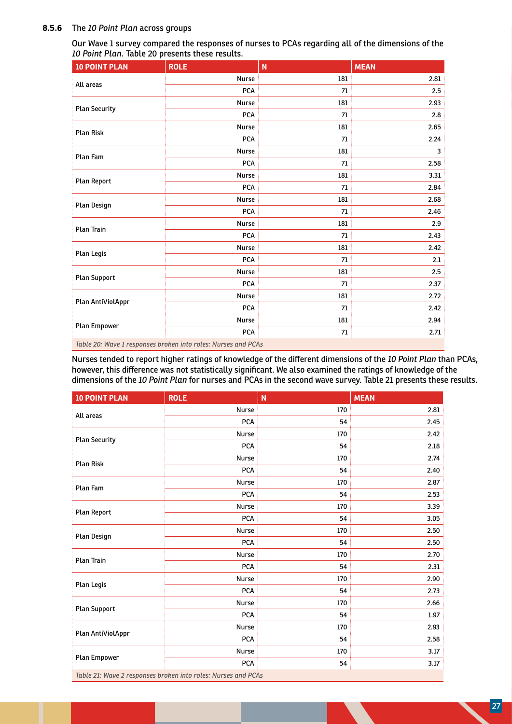#### <span id="page-26-0"></span>**8.5.6** The *10 Point Plan* across groups

Our Wave 1 survey compared the responses of nurses to PCAs regarding all of the dimensions of the *10 Point Plan*. Table 20 presents these results.

| <b>10 POINT PLAN</b> | <b>ROLE</b>                                                   | $\overline{\mathsf{N}}$ | <b>MEAN</b> |
|----------------------|---------------------------------------------------------------|-------------------------|-------------|
|                      | Nurse                                                         | 181                     | 2.81        |
| All areas            | <b>PCA</b>                                                    | 71                      | 2.5         |
|                      | Nurse                                                         | 181                     | 2.93        |
| <b>Plan Security</b> | <b>PCA</b>                                                    | 71                      | 2.8         |
| <b>Plan Risk</b>     | Nurse                                                         | 181                     | 2.65        |
|                      | <b>PCA</b>                                                    | 71                      | 2.24        |
| <b>Plan Fam</b>      | Nurse                                                         | 181                     | 3           |
|                      | <b>PCA</b>                                                    | 71                      | 2.58        |
|                      | Nurse                                                         | 181                     | 3.31        |
| <b>Plan Report</b>   | <b>PCA</b>                                                    | 71                      | 2.84        |
|                      | Nurse                                                         | 181                     | 2.68        |
| <b>Plan Design</b>   | <b>PCA</b>                                                    | 71                      | 2.46        |
| Plan Train           | Nurse                                                         | 181                     | 2.9         |
|                      | <b>PCA</b>                                                    | 71                      | 2.43        |
|                      | Nurse                                                         | 181                     | 2.42        |
| <b>Plan Legis</b>    | <b>PCA</b>                                                    | 71                      | 2.1         |
|                      | Nurse                                                         | 181                     | 2.5         |
| <b>Plan Support</b>  | <b>PCA</b>                                                    | 71                      | 2.37        |
|                      | Nurse                                                         | 181                     | 2.72        |
| Plan AntiViolAppr    | <b>PCA</b>                                                    | 71                      | 2.42        |
|                      | Nurse                                                         | 181                     | 2.94        |
| <b>Plan Empower</b>  | <b>PCA</b>                                                    | 71                      | 2.71        |
|                      | Table 20: Wave 1 responses broken into roles: Nurses and PCAs |                         |             |

Nurses tended to report higher ratings of knowledge of the different dimensions of the *10 Point Plan* than PCAs, however, this difference was not statistically significant. We also examined the ratings of knowledge of the dimensions of the *10 Point Plan* for nurses and PCAs in the second wave survey. Table 21 presents these results.

| <b>10 POINT PLAN</b> | <b>ROLE</b>                                                     | $\overline{\mathsf{N}}$ | <b>MEAN</b> |
|----------------------|-----------------------------------------------------------------|-------------------------|-------------|
|                      | <b>Nurse</b>                                                    | 170                     | 2.81        |
| All areas            | <b>PCA</b>                                                      | 54                      | 2.45        |
|                      | <b>Nurse</b>                                                    | 170                     | 2.42        |
| <b>Plan Security</b> | <b>PCA</b>                                                      | 54                      | 2.18        |
| <b>Plan Risk</b>     | Nurse                                                           | 170                     | 2.74        |
|                      | <b>PCA</b>                                                      | 54                      | 2.40        |
| Plan Fam             | Nurse                                                           | 170                     | 2.87        |
|                      | <b>PCA</b>                                                      | 54                      | 2.53        |
|                      | Nurse                                                           | 170                     | 3.39        |
| Plan Report          | <b>PCA</b>                                                      | 54                      | 3.05        |
|                      | <b>Nurse</b>                                                    | 170                     | 2.50        |
| Plan Design          | <b>PCA</b>                                                      | 54                      | 2.50        |
| <b>Plan Train</b>    | Nurse                                                           | 170                     | 2.70        |
|                      | <b>PCA</b>                                                      | 54                      | 2.31        |
| <b>Plan Legis</b>    | Nurse                                                           | 170                     | 2.90        |
|                      | <b>PCA</b>                                                      | 54                      | 2.73        |
|                      | <b>Nurse</b>                                                    | 170                     | 2.66        |
| <b>Plan Support</b>  | <b>PCA</b>                                                      | 54                      | 1.97        |
|                      | Nurse                                                           | 170                     | 2.93        |
| Plan AntiViolAppr    | <b>PCA</b>                                                      | 54                      | 2.58        |
|                      | Nurse                                                           | 170                     | 3.17        |
| <b>Plan Empower</b>  | <b>PCA</b>                                                      | 54                      | 3.17        |
|                      | Tuble 21, Ulaus 2 nonnences bushers into notes; Numers and DCA- |                         |             |

*Table 21: Wave 2 responses broken into roles: Nurses and PCAs*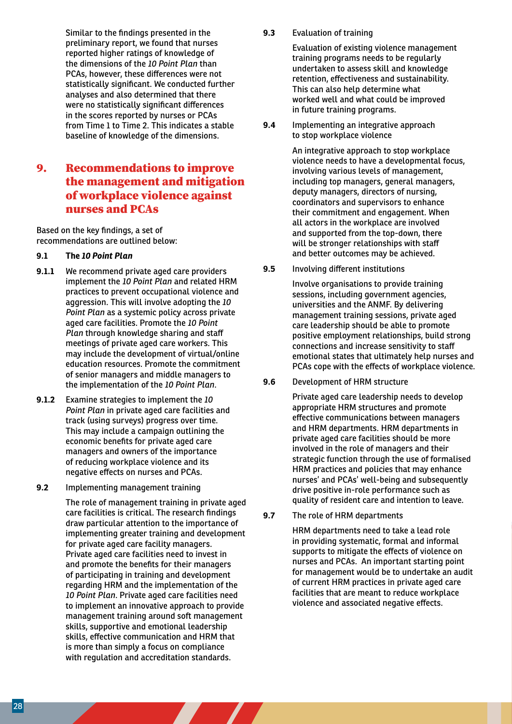<span id="page-27-0"></span>Similar to the findings presented in the preliminary report, we found that nurses reported higher ratings of knowledge of the dimensions of the *10 Point Plan* than PCAs, however, these differences were not statistically significant. We conducted further analyses and also determined that there were no statistically significant differences in the scores reported by nurses or PCAs from Time 1 to Time 2. This indicates a stable baseline of knowledge of the dimensions.

# 9. Recommendations to improve the management and mitigation of workplace violence against nurses and PCAs

Based on the key findings, a set of recommendations are outlined below:

#### **9.1 The** *10 Point Plan*

- **9.1.1** We recommend private aged care providers implement the *10 Point Plan* and related HRM practices to prevent occupational violence and aggression. This will involve adopting the *10 Point Plan* as a systemic policy across private aged care facilities. Promote the *10 Point Plan* through knowledge sharing and staff meetings of private aged care workers. This may include the development of virtual/online education resources. Promote the commitment of senior managers and middle managers to the implementation of the *10 Point Plan*.
- **9.1.2** Examine strategies to implement the *10 Point Plan* in private aged care facilities and track (using surveys) progress over time. This may include a campaign outlining the economic benefits for private aged care managers and owners of the importance of reducing workplace violence and its negative effects on nurses and PCAs.
- **9.2** Implementing management training

The role of management training in private aged care facilities is critical. The research findings draw particular attention to the importance of implementing greater training and development for private aged care facility managers. Private aged care facilities need to invest in and promote the benefits for their managers of participating in training and development regarding HRM and the implementation of the *10 Point Plan*. Private aged care facilities need to implement an innovative approach to provide management training around soft management skills, supportive and emotional leadership skills, effective communication and HRM that is more than simply a focus on compliance with regulation and accreditation standards.

**9.3** Evaluation of training

Evaluation of existing violence management training programs needs to be regularly undertaken to assess skill and knowledge retention, effectiveness and sustainability. This can also help determine what worked well and what could be improved in future training programs.

**9.4** Implementing an integrative approach to stop workplace violence

> An integrative approach to stop workplace violence needs to have a developmental focus, involving various levels of management, including top managers, general managers, deputy managers, directors of nursing, coordinators and supervisors to enhance their commitment and engagement. When all actors in the workplace are involved and supported from the top-down, there will be stronger relationships with staff and better outcomes may be achieved.

**9.5** Involving different institutions

Involve organisations to provide training sessions, including government agencies, universities and the ANMF. By delivering management training sessions, private aged care leadership should be able to promote positive employment relationships, build strong connections and increase sensitivity to staff emotional states that ultimately help nurses and PCAs cope with the effects of workplace violence.

**9.6** Development of HRM structure

Private aged care leadership needs to develop appropriate HRM structures and promote effective communications between managers and HRM departments. HRM departments in private aged care facilities should be more involved in the role of managers and their strategic function through the use of formalised HRM practices and policies that may enhance nurses' and PCAs' well-being and subsequently drive positive in-role performance such as quality of resident care and intention to leave.

**9.7** The role of HRM departments

HRM departments need to take a lead role in providing systematic, formal and informal supports to mitigate the effects of violence on nurses and PCAs. An important starting point for management would be to undertake an audit of current HRM practices in private aged care facilities that are meant to reduce workplace violence and associated negative effects.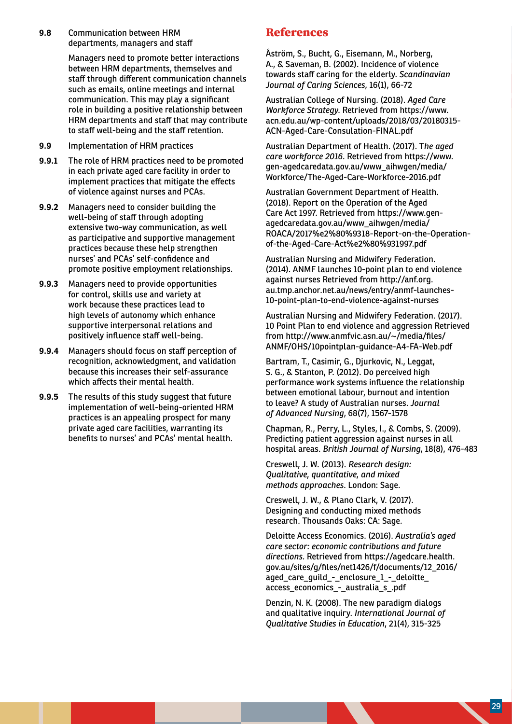#### <span id="page-28-0"></span>**9.8** Communication between HRM departments, managers and staff

Managers need to promote better interactions between HRM departments, themselves and staff through different communication channels such as emails, online meetings and internal communication. This may play a significant role in building a positive relationship between HRM departments and staff that may contribute to staff well-being and the staff retention.

- **9.9** Implementation of HRM practices
- **9.9.1** The role of HRM practices need to be promoted in each private aged care facility in order to implement practices that mitigate the effects of violence against nurses and PCAs.
- **9.9.2** Managers need to consider building the well-being of staff through adopting extensive two-way communication, as well as participative and supportive management practices because these help strengthen nurses' and PCAs' self-confidence and promote positive employment relationships.
- **9.9.3** Managers need to provide opportunities for control, skills use and variety at work because these practices lead to high levels of autonomy which enhance supportive interpersonal relations and positively influence staff well-being.
- **9.9.4** Managers should focus on staff perception of recognition, acknowledgment, and validation because this increases their self-assurance which affects their mental health.
- **9.9.5** The results of this study suggest that future implementation of well-being-oriented HRM practices is an appealing prospect for many private aged care facilities, warranting its benefits to nurses' and PCAs' mental health.

## References

Åström, S., Bucht, G., Eisemann, M., Norberg, A., & Saveman, B. (2002). Incidence of violence towards staff caring for the elderly. *Scandinavian Journal of Caring Sciences*, 16(1), 66-72

Australian College of Nursing. (2018). *Aged Care Workforce Strategy.* Retrieved from https://www. acn.edu.au/wp-content/uploads/2018/03/20180315- ACN-Aged-Care-Consulation-FINAL.pdf

Australian Department of Health. (2017). T*he aged care workforce 2016*. Retrieved from https://www. gen-agedcaredata.gov.au/www\_aihwgen/media/ Workforce/The-Aged-Care-Workforce-2016.pdf

Australian Government Department of Health. (2018). Report on the Operation of the Aged Care Act 1997. Retrieved from https://www.genagedcaredata.gov.au/www\_aihwgen/media/ ROACA/2017%e2%80%9318-Report-on-the-Operationof-the-Aged-Care-Act%e2%80%931997.pdf

Australian Nursing and Midwifery Federation. (2014). ANMF launches 10-point plan to end violence against nurses Retrieved from http://anf.org. au.tmp.anchor.net.au/news/entry/anmf-launches-10-point-plan-to-end-violence-against-nurses

Australian Nursing and Midwifery Federation. (2017). 10 Point Plan to end violence and aggression Retrieved from http://www.anmfvic.asn.au/~/media/files/ ANMF/OHS/10pointplan-guidance-A4-FA-Web.pdf

Bartram, T., Casimir, G., Djurkovic, N., Leggat, S. G., & Stanton, P. (2012). Do perceived high performance work systems influence the relationship between emotional labour, burnout and intention to leave? A study of Australian nurses. *Journal of Advanced Nursing*, 68(7), 1567-1578

Chapman, R., Perry, L., Styles, I., & Combs, S. (2009). Predicting patient aggression against nurses in all hospital areas. *British Journal of Nursing*, 18(8), 476-483

Creswell, J. W. (2013). *Research design: Qualitative, quantitative, and mixed methods approaches*. London: Sage.

Creswell, J. W., & Plano Clark, V. (2017). Designing and conducting mixed methods research. Thousands Oaks: CA: Sage.

Deloitte Access Economics. (2016). *Australia's aged care sector: economic contributions and future directions.* Retrieved from https://agedcare.health. gov.au/sites/g/files/net1426/f/documents/12\_2016/ aged\_care\_guild\_-\_enclosure\_1\_-\_deloitte\_ access\_economics\_-\_australia\_s\_.pdf

Denzin, N. K. (2008). The new paradigm dialogs and qualitative inquiry. *International Journal of Qualitative Studies in Education*, 21(4), 315-325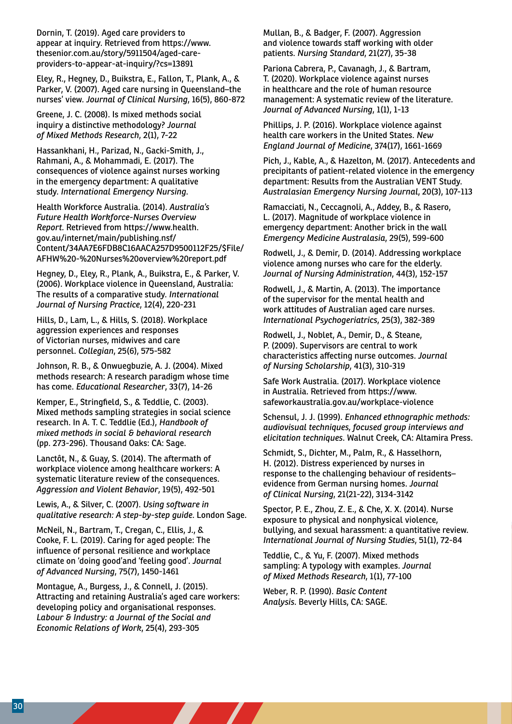Dornin, T. (2019). Aged care providers to appear at inquiry. Retrieved from https://www. thesenior.com.au/story/5911504/aged-careproviders-to-appear-at-inquiry/?cs=13891

Eley, R., Hegney, D., Buikstra, E., Fallon, T., Plank, A., & Parker, V. (2007). Aged care nursing in Queensland–the nurses' view. *Journal of Clinical Nursing*, 16(5), 860-872

Greene, J. C. (2008). Is mixed methods social inquiry a distinctive methodology? *Journal of Mixed Methods Research*, 2(1), 7-22

Hassankhani, H., Parizad, N., Gacki-Smith, J., Rahmani, A., & Mohammadi, E. (2017). The consequences of violence against nurses working in the emergency department: A qualitative study. *International Emergency Nursing*.

Health Workforce Australia. (2014). *Australia's Future Health Workforce-Nurses Overview Report.* Retrieved from https://www.health. gov.au/internet/main/publishing.nsf/ Content/34AA7E6FDB8C16AACA257D9500112F25/\$File/ AFHW%20-%20Nurses%20overview%20report.pdf

Hegney, D., Eley, R., Plank, A., Buikstra, E., & Parker, V. (2006). Workplace violence in Queensland, Australia: The results of a comparative study. *International Journal of Nursing Practice*, 12(4), 220-231

Hills, D., Lam, L., & Hills, S. (2018). Workplace aggression experiences and responses of Victorian nurses, midwives and care personnel. *Collegian*, 25(6), 575-582

Johnson, R. B., & Onwuegbuzie, A. J. (2004). Mixed methods research: A research paradigm whose time has come. *Educational Researcher*, 33(7), 14-26

Kemper, E., Stringfield, S., & Teddlie, C. (2003). Mixed methods sampling strategies in social science research. In A. T. C. Teddlie (Ed.), *Handbook of mixed methods in social & behavioral research*  (pp. 273-296). Thousand Oaks: CA: Sage.

Lanctôt, N., & Guay, S. (2014). The aftermath of workplace violence among healthcare workers: A systematic literature review of the consequences. *Aggression and Violent Behavior*, 19(5), 492-501

Lewis, A., & Silver, C. (2007). *Using software in qualitative research: A step-by-step guide*. London Sage.

McNeil, N., Bartram, T., Cregan, C., Ellis, J., & Cooke, F. L. (2019). Caring for aged people: The influence of personal resilience and workplace climate on 'doing good'and 'feeling good'. *Journal of Advanced Nursing*, 75(7), 1450-1461

Montague, A., Burgess, J., & Connell, J. (2015). Attracting and retaining Australia's aged care workers: developing policy and organisational responses. *Labour & Industry: a Journal of the Social and Economic Relations of Work*, 25(4), 293-305

Mullan, B., & Badger, F. (2007). Aggression and violence towards staff working with older patients. *Nursing Standard*, 21(27), 35-38

Pariona Cabrera, P., Cavanagh, J., & Bartram, T. (2020). Workplace violence against nurses in healthcare and the role of human resource management: A systematic review of the literature. *Journal of Advanced Nursing*, 1(1), 1-13

Phillips, J. P. (2016). Workplace violence against health care workers in the United States. *New England Journal of Medicine*, 374(17), 1661-1669

Pich, J., Kable, A., & Hazelton, M. (2017). Antecedents and precipitants of patient-related violence in the emergency department: Results from the Australian VENT Study. *Australasian Emergency Nursing Journal*, 20(3), 107-113

Ramacciati, N., Ceccagnoli, A., Addey, B., & Rasero, L. (2017). Magnitude of workplace violence in emergency department: Another brick in the wall *Emergency Medicine Australasia*, 29(5), 599-600

Rodwell, J., & Demir, D. (2014). Addressing workplace violence among nurses who care for the elderly. *Journal of Nursing Administration*, 44(3), 152-157

Rodwell, J., & Martin, A. (2013). The importance of the supervisor for the mental health and work attitudes of Australian aged care nurses. *International Psychogeriatrics*, 25(3), 382-389

Rodwell, J., Noblet, A., Demir, D., & Steane, P. (2009). Supervisors are central to work characteristics affecting nurse outcomes. *Journal of Nursing Scholarship*, 41(3), 310-319

Safe Work Australia. (2017). Workplace violence in Australia. Retrieved from https://www. safeworkaustralia.gov.au/workplace-violence

Schensul, J. J. (1999). *Enhanced ethnographic methods: audiovisual techniques, focused group interviews and elicitation techniques*. Walnut Creek, CA: Altamira Press.

Schmidt, S., Dichter, M., Palm, R., & Hasselhorn, H. (2012). Distress experienced by nurses in response to the challenging behaviour of residents– evidence from German nursing homes. *Journal of Clinical Nursing*, 21(21-22), 3134-3142

Spector, P. E., Zhou, Z. E., & Che, X. X. (2014). Nurse exposure to physical and nonphysical violence, bullying, and sexual harassment: a quantitative review. *International Journal of Nursing Studies*, 51(1), 72-84

Teddlie, C., & Yu, F. (2007). Mixed methods sampling: A typology with examples. *Journal of Mixed Methods Research*, 1(1), 77-100

Weber, R. P. (1990). *Basic Content Analysis.* Beverly Hills, CA: SAGE.